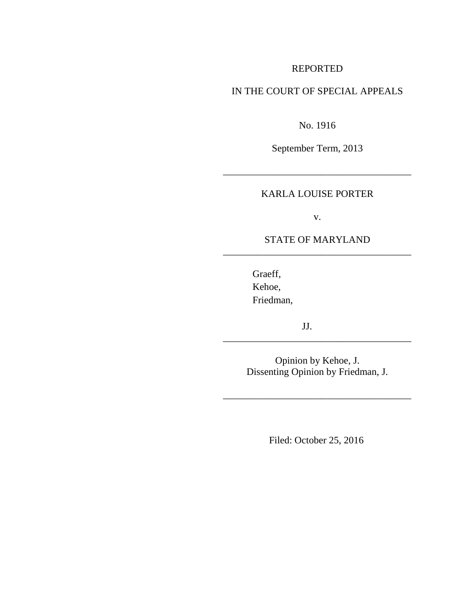## REPORTED

# IN THE COURT OF SPECIAL APPEALS

No. 1916

September Term, 2013

# KARLA LOUISE PORTER

\_\_\_\_\_\_\_\_\_\_\_\_\_\_\_\_\_\_\_\_\_\_\_\_\_\_\_\_\_\_\_\_\_\_\_\_\_\_

v.

## STATE OF MARYLAND \_\_\_\_\_\_\_\_\_\_\_\_\_\_\_\_\_\_\_\_\_\_\_\_\_\_\_\_\_\_\_\_\_\_\_\_\_\_

Graeff, Kehoe, Friedman,

JJ.

Opinion by Kehoe, J. Dissenting Opinion by Friedman, J.

\_\_\_\_\_\_\_\_\_\_\_\_\_\_\_\_\_\_\_\_\_\_\_\_\_\_\_\_\_\_\_\_\_\_\_\_\_\_

\_\_\_\_\_\_\_\_\_\_\_\_\_\_\_\_\_\_\_\_\_\_\_\_\_\_\_\_\_\_\_\_\_\_\_\_\_\_

Filed: October 25, 2016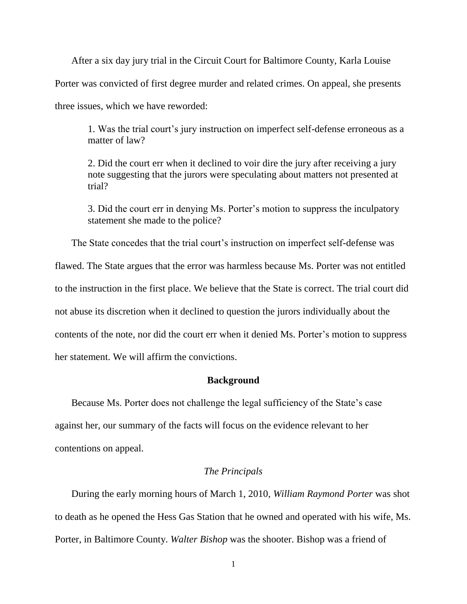After a six day jury trial in the Circuit Court for Baltimore County, Karla Louise Porter was convicted of first degree murder and related crimes. On appeal, she presents three issues, which we have reworded:

1. Was the trial court's jury instruction on imperfect self-defense erroneous as a matter of law?

2. Did the court err when it declined to voir dire the jury after receiving a jury note suggesting that the jurors were speculating about matters not presented at trial?

3. Did the court err in denying Ms. Porter's motion to suppress the inculpatory statement she made to the police?

The State concedes that the trial court's instruction on imperfect self-defense was

flawed. The State argues that the error was harmless because Ms. Porter was not entitled

to the instruction in the first place. We believe that the State is correct. The trial court did

not abuse its discretion when it declined to question the jurors individually about the

contents of the note, nor did the court err when it denied Ms. Porter's motion to suppress

her statement. We will affirm the convictions.

#### **Background**

Because Ms. Porter does not challenge the legal sufficiency of the State's case against her, our summary of the facts will focus on the evidence relevant to her contentions on appeal.

### *The Principals*

During the early morning hours of March 1, 2010, *William Raymond Porter* was shot to death as he opened the Hess Gas Station that he owned and operated with his wife, Ms. Porter, in Baltimore County. *Walter Bishop* was the shooter. Bishop was a friend of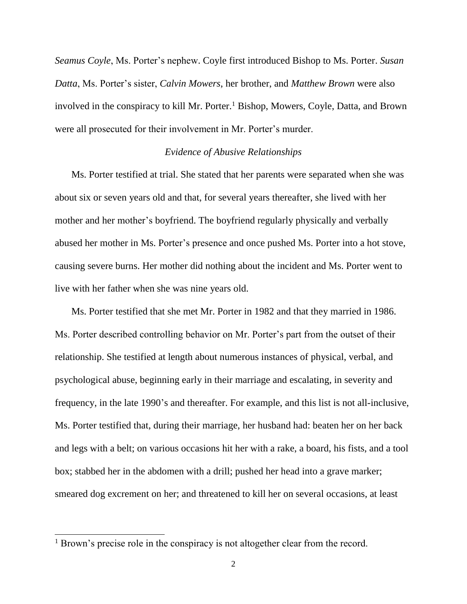*Seamus Coyle*, Ms. Porter's nephew. Coyle first introduced Bishop to Ms. Porter. *Susan Datta*, Ms. Porter's sister, *Calvin Mowers*, her brother, and *Matthew Brown* were also involved in the conspiracy to kill Mr. Porter.<sup>1</sup> Bishop, Mowers, Coyle, Datta, and Brown were all prosecuted for their involvement in Mr. Porter's murder.

#### *Evidence of Abusive Relationships*

Ms. Porter testified at trial. She stated that her parents were separated when she was about six or seven years old and that, for several years thereafter, she lived with her mother and her mother's boyfriend. The boyfriend regularly physically and verbally abused her mother in Ms. Porter's presence and once pushed Ms. Porter into a hot stove, causing severe burns. Her mother did nothing about the incident and Ms. Porter went to live with her father when she was nine years old.

Ms. Porter testified that she met Mr. Porter in 1982 and that they married in 1986. Ms. Porter described controlling behavior on Mr. Porter's part from the outset of their relationship. She testified at length about numerous instances of physical, verbal, and psychological abuse, beginning early in their marriage and escalating, in severity and frequency, in the late 1990's and thereafter. For example, and this list is not all-inclusive, Ms. Porter testified that, during their marriage, her husband had: beaten her on her back and legs with a belt; on various occasions hit her with a rake, a board, his fists, and a tool box; stabbed her in the abdomen with a drill; pushed her head into a grave marker; smeared dog excrement on her; and threatened to kill her on several occasions, at least

<sup>&</sup>lt;sup>1</sup> Brown's precise role in the conspiracy is not altogether clear from the record.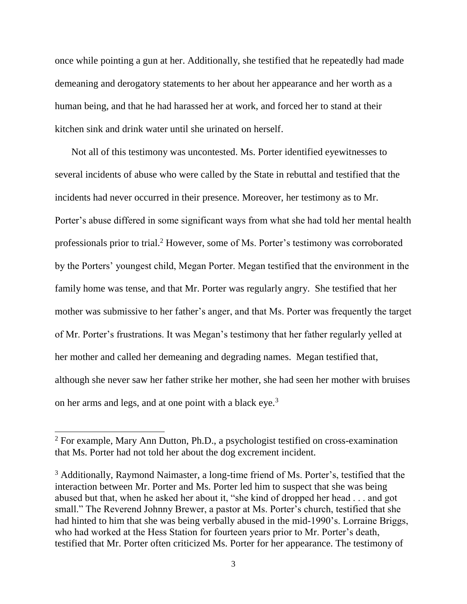once while pointing a gun at her. Additionally, she testified that he repeatedly had made demeaning and derogatory statements to her about her appearance and her worth as a human being, and that he had harassed her at work, and forced her to stand at their kitchen sink and drink water until she urinated on herself.

Not all of this testimony was uncontested. Ms. Porter identified eyewitnesses to several incidents of abuse who were called by the State in rebuttal and testified that the incidents had never occurred in their presence. Moreover, her testimony as to Mr. Porter's abuse differed in some significant ways from what she had told her mental health professionals prior to trial.<sup>2</sup> However, some of Ms. Porter's testimony was corroborated by the Porters' youngest child, Megan Porter. Megan testified that the environment in the family home was tense, and that Mr. Porter was regularly angry. She testified that her mother was submissive to her father's anger, and that Ms. Porter was frequently the target of Mr. Porter's frustrations. It was Megan's testimony that her father regularly yelled at her mother and called her demeaning and degrading names. Megan testified that, although she never saw her father strike her mother, she had seen her mother with bruises on her arms and legs, and at one point with a black eye.<sup>3</sup>

<sup>&</sup>lt;sup>2</sup> For example, Mary Ann Dutton, Ph.D., a psychologist testified on cross-examination that Ms. Porter had not told her about the dog excrement incident.

<sup>&</sup>lt;sup>3</sup> Additionally, Raymond Naimaster, a long-time friend of Ms. Porter's, testified that the interaction between Mr. Porter and Ms. Porter led him to suspect that she was being abused but that, when he asked her about it, "she kind of dropped her head . . . and got small." The Reverend Johnny Brewer, a pastor at Ms. Porter's church, testified that she had hinted to him that she was being verbally abused in the mid-1990's. Lorraine Briggs, who had worked at the Hess Station for fourteen years prior to Mr. Porter's death, testified that Mr. Porter often criticized Ms. Porter for her appearance. The testimony of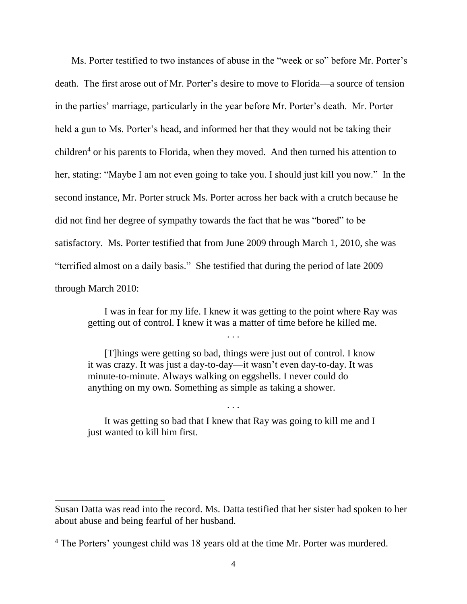Ms. Porter testified to two instances of abuse in the "week or so" before Mr. Porter's death. The first arose out of Mr. Porter's desire to move to Florida—a source of tension in the parties' marriage, particularly in the year before Mr. Porter's death. Mr. Porter held a gun to Ms. Porter's head, and informed her that they would not be taking their children<sup>4</sup> or his parents to Florida, when they moved. And then turned his attention to her, stating: "Maybe I am not even going to take you. I should just kill you now." In the second instance, Mr. Porter struck Ms. Porter across her back with a crutch because he did not find her degree of sympathy towards the fact that he was "bored" to be satisfactory. Ms. Porter testified that from June 2009 through March 1, 2010, she was "terrified almost on a daily basis." She testified that during the period of late 2009 through March 2010:

I was in fear for my life. I knew it was getting to the point where Ray was getting out of control. I knew it was a matter of time before he killed me.

[T]hings were getting so bad, things were just out of control. I know it was crazy. It was just a day-to-day—it wasn't even day-to-day. It was minute-to-minute. Always walking on eggshells. I never could do anything on my own. Something as simple as taking a shower.

It was getting so bad that I knew that Ray was going to kill me and I just wanted to kill him first.

. . .

Susan Datta was read into the record. Ms. Datta testified that her sister had spoken to her about abuse and being fearful of her husband.

<sup>&</sup>lt;sup>4</sup> The Porters' youngest child was 18 years old at the time Mr. Porter was murdered.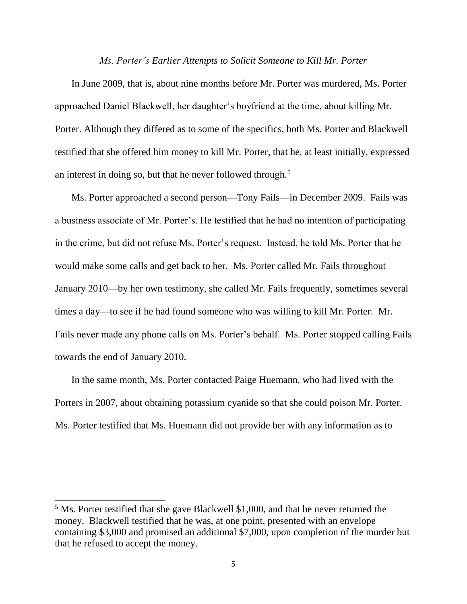#### *Ms. Porter's Earlier Attempts to Solicit Someone to Kill Mr. Porter*

In June 2009, that is, about nine months before Mr. Porter was murdered, Ms. Porter approached Daniel Blackwell, her daughter's boyfriend at the time, about killing Mr. Porter. Although they differed as to some of the specifics, both Ms. Porter and Blackwell testified that she offered him money to kill Mr. Porter, that he, at least initially, expressed an interest in doing so, but that he never followed through.<sup>5</sup>

Ms. Porter approached a second person—Tony Fails—in December 2009. Fails was a business associate of Mr. Porter's. He testified that he had no intention of participating in the crime, but did not refuse Ms. Porter's request. Instead, he told Ms. Porter that he would make some calls and get back to her. Ms. Porter called Mr. Fails throughout January 2010—by her own testimony, she called Mr. Fails frequently, sometimes several times a day—to see if he had found someone who was willing to kill Mr. Porter. Mr. Fails never made any phone calls on Ms. Porter's behalf. Ms. Porter stopped calling Fails towards the end of January 2010.

In the same month, Ms. Porter contacted Paige Huemann, who had lived with the Porters in 2007, about obtaining potassium cyanide so that she could poison Mr. Porter. Ms. Porter testified that Ms. Huemann did not provide her with any information as to

<sup>&</sup>lt;sup>5</sup> Ms. Porter testified that she gave Blackwell \$1,000, and that he never returned the money. Blackwell testified that he was, at one point, presented with an envelope containing \$3,000 and promised an additional \$7,000, upon completion of the murder but that he refused to accept the money.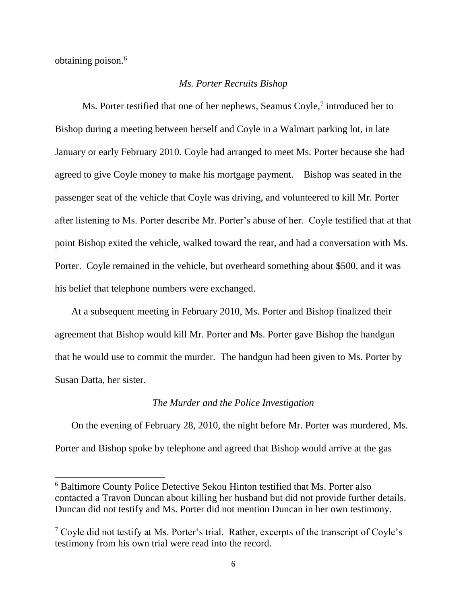obtaining poison. 6

l

### *Ms. Porter Recruits Bishop*

Ms. Porter testified that one of her nephews, Seamus Coyle,<sup>7</sup> introduced her to Bishop during a meeting between herself and Coyle in a Walmart parking lot, in late January or early February 2010. Coyle had arranged to meet Ms. Porter because she had agreed to give Coyle money to make his mortgage payment. Bishop was seated in the passenger seat of the vehicle that Coyle was driving, and volunteered to kill Mr. Porter after listening to Ms. Porter describe Mr. Porter's abuse of her. Coyle testified that at that point Bishop exited the vehicle, walked toward the rear, and had a conversation with Ms. Porter. Coyle remained in the vehicle, but overheard something about \$500, and it was his belief that telephone numbers were exchanged.

At a subsequent meeting in February 2010, Ms. Porter and Bishop finalized their agreement that Bishop would kill Mr. Porter and Ms. Porter gave Bishop the handgun that he would use to commit the murder. The handgun had been given to Ms. Porter by Susan Datta, her sister.

#### *The Murder and the Police Investigation*

On the evening of February 28, 2010, the night before Mr. Porter was murdered, Ms. Porter and Bishop spoke by telephone and agreed that Bishop would arrive at the gas

<sup>6</sup> Baltimore County Police Detective Sekou Hinton testified that Ms. Porter also contacted a Travon Duncan about killing her husband but did not provide further details. Duncan did not testify and Ms. Porter did not mention Duncan in her own testimony.

 $7 \degree$  Coyle did not testify at Ms. Porter's trial. Rather, excerpts of the transcript of Coyle's testimony from his own trial were read into the record.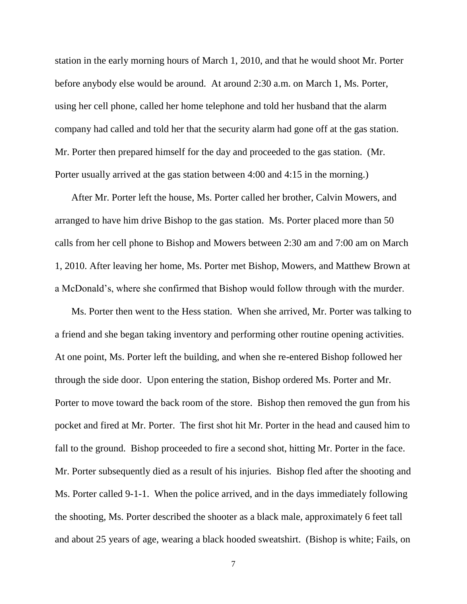station in the early morning hours of March 1, 2010, and that he would shoot Mr. Porter before anybody else would be around. At around 2:30 a.m. on March 1, Ms. Porter, using her cell phone, called her home telephone and told her husband that the alarm company had called and told her that the security alarm had gone off at the gas station. Mr. Porter then prepared himself for the day and proceeded to the gas station. (Mr. Porter usually arrived at the gas station between 4:00 and 4:15 in the morning.)

After Mr. Porter left the house, Ms. Porter called her brother, Calvin Mowers, and arranged to have him drive Bishop to the gas station. Ms. Porter placed more than 50 calls from her cell phone to Bishop and Mowers between 2:30 am and 7:00 am on March 1, 2010. After leaving her home, Ms. Porter met Bishop, Mowers, and Matthew Brown at a McDonald's, where she confirmed that Bishop would follow through with the murder.

Ms. Porter then went to the Hess station. When she arrived, Mr. Porter was talking to a friend and she began taking inventory and performing other routine opening activities. At one point, Ms. Porter left the building, and when she re-entered Bishop followed her through the side door. Upon entering the station, Bishop ordered Ms. Porter and Mr. Porter to move toward the back room of the store. Bishop then removed the gun from his pocket and fired at Mr. Porter. The first shot hit Mr. Porter in the head and caused him to fall to the ground. Bishop proceeded to fire a second shot, hitting Mr. Porter in the face. Mr. Porter subsequently died as a result of his injuries. Bishop fled after the shooting and Ms. Porter called 9-1-1. When the police arrived, and in the days immediately following the shooting, Ms. Porter described the shooter as a black male, approximately 6 feet tall and about 25 years of age, wearing a black hooded sweatshirt. (Bishop is white; Fails, on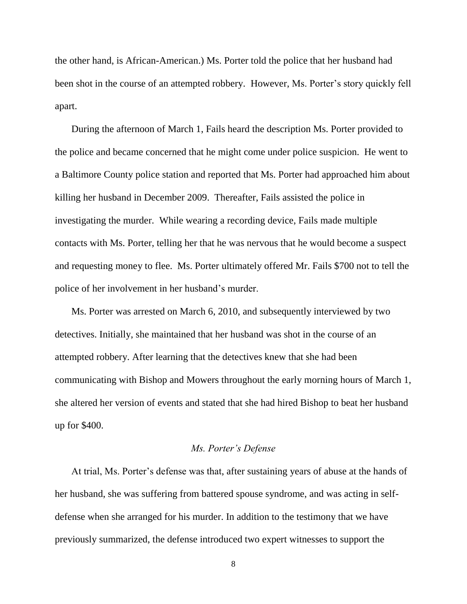the other hand, is African-American.) Ms. Porter told the police that her husband had been shot in the course of an attempted robbery. However, Ms. Porter's story quickly fell apart.

During the afternoon of March 1, Fails heard the description Ms. Porter provided to the police and became concerned that he might come under police suspicion. He went to a Baltimore County police station and reported that Ms. Porter had approached him about killing her husband in December 2009. Thereafter, Fails assisted the police in investigating the murder. While wearing a recording device, Fails made multiple contacts with Ms. Porter, telling her that he was nervous that he would become a suspect and requesting money to flee. Ms. Porter ultimately offered Mr. Fails \$700 not to tell the police of her involvement in her husband's murder.

Ms. Porter was arrested on March 6, 2010, and subsequently interviewed by two detectives. Initially, she maintained that her husband was shot in the course of an attempted robbery. After learning that the detectives knew that she had been communicating with Bishop and Mowers throughout the early morning hours of March 1, she altered her version of events and stated that she had hired Bishop to beat her husband up for \$400.

### *Ms. Porter's Defense*

At trial, Ms. Porter's defense was that, after sustaining years of abuse at the hands of her husband, she was suffering from battered spouse syndrome, and was acting in selfdefense when she arranged for his murder. In addition to the testimony that we have previously summarized, the defense introduced two expert witnesses to support the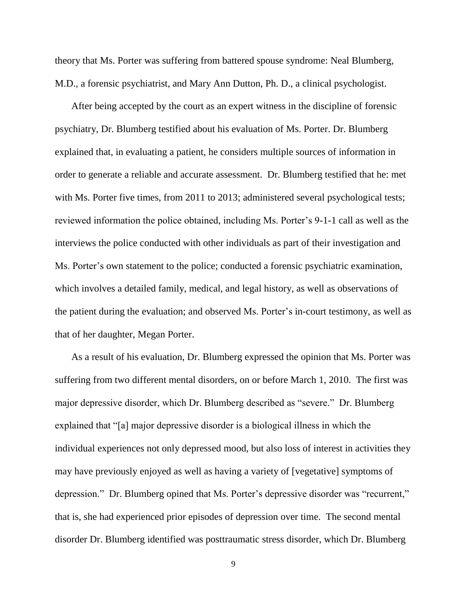theory that Ms. Porter was suffering from battered spouse syndrome: Neal Blumberg, M.D., a forensic psychiatrist, and Mary Ann Dutton, Ph. D., a clinical psychologist.

After being accepted by the court as an expert witness in the discipline of forensic psychiatry, Dr. Blumberg testified about his evaluation of Ms. Porter. Dr. Blumberg explained that, in evaluating a patient, he considers multiple sources of information in order to generate a reliable and accurate assessment. Dr. Blumberg testified that he: met with Ms. Porter five times, from 2011 to 2013; administered several psychological tests; reviewed information the police obtained, including Ms. Porter's 9-1-1 call as well as the interviews the police conducted with other individuals as part of their investigation and Ms. Porter's own statement to the police; conducted a forensic psychiatric examination, which involves a detailed family, medical, and legal history, as well as observations of the patient during the evaluation; and observed Ms. Porter's in-court testimony, as well as that of her daughter, Megan Porter.

As a result of his evaluation, Dr. Blumberg expressed the opinion that Ms. Porter was suffering from two different mental disorders, on or before March 1, 2010. The first was major depressive disorder, which Dr. Blumberg described as "severe." Dr. Blumberg explained that "[a] major depressive disorder is a biological illness in which the individual experiences not only depressed mood, but also loss of interest in activities they may have previously enjoyed as well as having a variety of [vegetative] symptoms of depression." Dr. Blumberg opined that Ms. Porter's depressive disorder was "recurrent," that is, she had experienced prior episodes of depression over time. The second mental disorder Dr. Blumberg identified was posttraumatic stress disorder, which Dr. Blumberg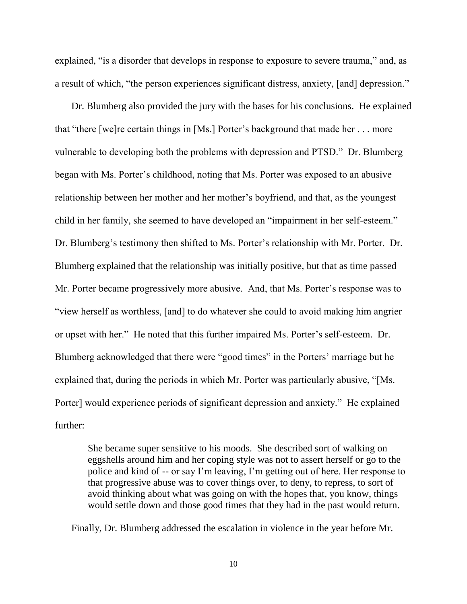explained, "is a disorder that develops in response to exposure to severe trauma," and, as a result of which, "the person experiences significant distress, anxiety, [and] depression."

Dr. Blumberg also provided the jury with the bases for his conclusions. He explained that "there [we]re certain things in [Ms.] Porter's background that made her . . . more vulnerable to developing both the problems with depression and PTSD." Dr. Blumberg began with Ms. Porter's childhood, noting that Ms. Porter was exposed to an abusive relationship between her mother and her mother's boyfriend, and that, as the youngest child in her family, she seemed to have developed an "impairment in her self-esteem." Dr. Blumberg's testimony then shifted to Ms. Porter's relationship with Mr. Porter. Dr. Blumberg explained that the relationship was initially positive, but that as time passed Mr. Porter became progressively more abusive. And, that Ms. Porter's response was to "view herself as worthless, [and] to do whatever she could to avoid making him angrier or upset with her." He noted that this further impaired Ms. Porter's self-esteem. Dr. Blumberg acknowledged that there were "good times" in the Porters' marriage but he explained that, during the periods in which Mr. Porter was particularly abusive, "[Ms. Porter] would experience periods of significant depression and anxiety." He explained further:

She became super sensitive to his moods. She described sort of walking on eggshells around him and her coping style was not to assert herself or go to the police and kind of -- or say I'm leaving, I'm getting out of here. Her response to that progressive abuse was to cover things over, to deny, to repress, to sort of avoid thinking about what was going on with the hopes that, you know, things would settle down and those good times that they had in the past would return.

Finally, Dr. Blumberg addressed the escalation in violence in the year before Mr.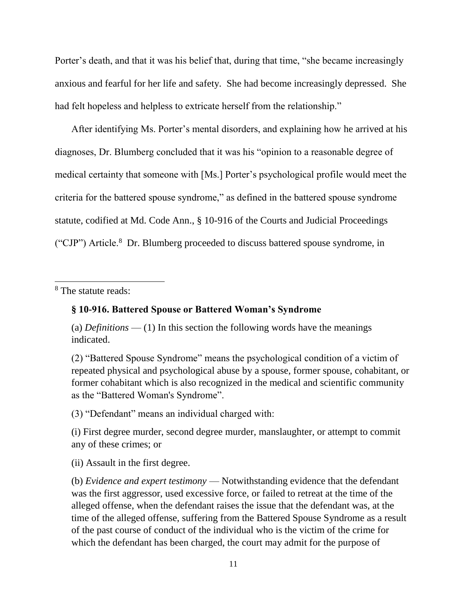Porter's death, and that it was his belief that, during that time, "she became increasingly anxious and fearful for her life and safety. She had become increasingly depressed. She had felt hopeless and helpless to extricate herself from the relationship."

After identifying Ms. Porter's mental disorders, and explaining how he arrived at his diagnoses, Dr. Blumberg concluded that it was his "opinion to a reasonable degree of medical certainty that someone with [Ms.] Porter's psychological profile would meet the criteria for the battered spouse syndrome," as defined in the battered spouse syndrome statute, codified at Md. Code Ann., § 10-916 of the Courts and Judicial Proceedings ("CJP") Article.<sup>8</sup> Dr. Blumberg proceeded to discuss battered spouse syndrome, in

<sup>8</sup> The statute reads:

 $\overline{a}$ 

## **§ 10-916. Battered Spouse or Battered Woman's Syndrome**

(a) *Definitions* — (1) In this section the following words have the meanings indicated.

(2) "Battered Spouse Syndrome" means the psychological condition of a victim of repeated physical and psychological abuse by a spouse, former spouse, cohabitant, or former cohabitant which is also recognized in the medical and scientific community as the "Battered Woman's Syndrome".

(3) "Defendant" means an individual charged with:

(i) First degree murder, second degree murder, manslaughter, or attempt to commit any of these crimes; or

(ii) Assault in the first degree.

(b) *Evidence and expert testimony* — Notwithstanding evidence that the defendant was the first aggressor, used excessive force, or failed to retreat at the time of the alleged offense, when the defendant raises the issue that the defendant was, at the time of the alleged offense, suffering from the Battered Spouse Syndrome as a result of the past course of conduct of the individual who is the victim of the crime for which the defendant has been charged, the court may admit for the purpose of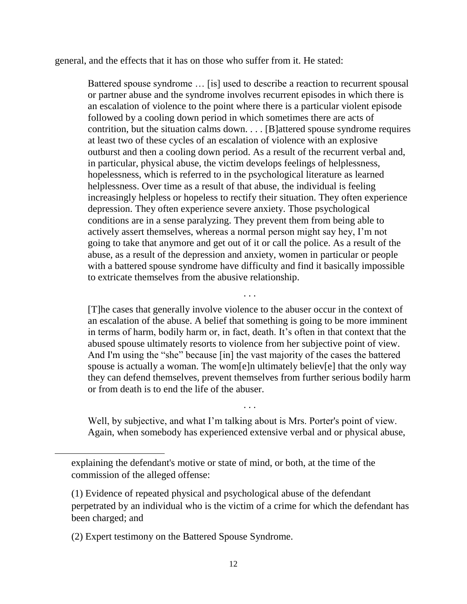general, and the effects that it has on those who suffer from it. He stated:

Battered spouse syndrome … [is] used to describe a reaction to recurrent spousal or partner abuse and the syndrome involves recurrent episodes in which there is an escalation of violence to the point where there is a particular violent episode followed by a cooling down period in which sometimes there are acts of contrition, but the situation calms down. . . . [B]attered spouse syndrome requires at least two of these cycles of an escalation of violence with an explosive outburst and then a cooling down period. As a result of the recurrent verbal and, in particular, physical abuse, the victim develops feelings of helplessness, hopelessness, which is referred to in the psychological literature as learned helplessness. Over time as a result of that abuse, the individual is feeling increasingly helpless or hopeless to rectify their situation. They often experience depression. They often experience severe anxiety. Those psychological conditions are in a sense paralyzing. They prevent them from being able to actively assert themselves, whereas a normal person might say hey, I'm not going to take that anymore and get out of it or call the police. As a result of the abuse, as a result of the depression and anxiety, women in particular or people with a battered spouse syndrome have difficulty and find it basically impossible to extricate themselves from the abusive relationship.

[T]he cases that generally involve violence to the abuser occur in the context of an escalation of the abuse. A belief that something is going to be more imminent in terms of harm, bodily harm or, in fact, death. It's often in that context that the abused spouse ultimately resorts to violence from her subjective point of view. And I'm using the "she" because [in] the vast majority of the cases the battered spouse is actually a woman. The wom[e]n ultimately believ[e] that the only way they can defend themselves, prevent themselves from further serious bodily harm or from death is to end the life of the abuser.

. . .

Well, by subjective, and what I'm talking about is Mrs. Porter's point of view. Again, when somebody has experienced extensive verbal and or physical abuse,

. . .

l

explaining the defendant's motive or state of mind, or both, at the time of the commission of the alleged offense:

<sup>(1)</sup> Evidence of repeated physical and psychological abuse of the defendant perpetrated by an individual who is the victim of a crime for which the defendant has been charged; and

<sup>(2)</sup> Expert testimony on the Battered Spouse Syndrome.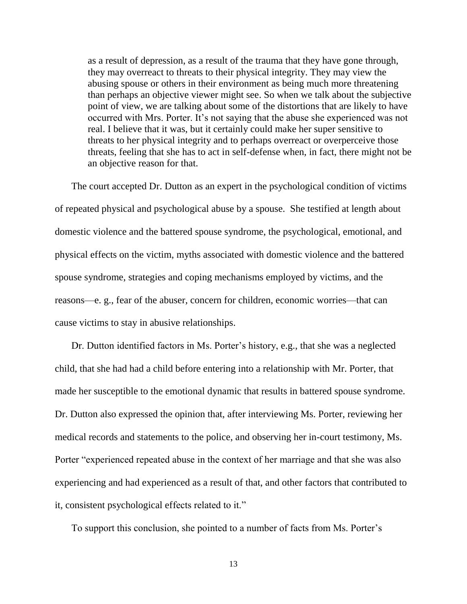as a result of depression, as a result of the trauma that they have gone through, they may overreact to threats to their physical integrity. They may view the abusing spouse or others in their environment as being much more threatening than perhaps an objective viewer might see. So when we talk about the subjective point of view, we are talking about some of the distortions that are likely to have occurred with Mrs. Porter. It's not saying that the abuse she experienced was not real. I believe that it was, but it certainly could make her super sensitive to threats to her physical integrity and to perhaps overreact or overperceive those threats, feeling that she has to act in self-defense when, in fact, there might not be an objective reason for that.

The court accepted Dr. Dutton as an expert in the psychological condition of victims of repeated physical and psychological abuse by a spouse. She testified at length about domestic violence and the battered spouse syndrome, the psychological, emotional, and physical effects on the victim, myths associated with domestic violence and the battered spouse syndrome, strategies and coping mechanisms employed by victims, and the reasons—e. g., fear of the abuser, concern for children, economic worries—that can cause victims to stay in abusive relationships.

Dr. Dutton identified factors in Ms. Porter's history, e.g., that she was a neglected child, that she had had a child before entering into a relationship with Mr. Porter, that made her susceptible to the emotional dynamic that results in battered spouse syndrome. Dr. Dutton also expressed the opinion that, after interviewing Ms. Porter, reviewing her medical records and statements to the police, and observing her in-court testimony, Ms. Porter "experienced repeated abuse in the context of her marriage and that she was also experiencing and had experienced as a result of that, and other factors that contributed to it, consistent psychological effects related to it."

To support this conclusion, she pointed to a number of facts from Ms. Porter's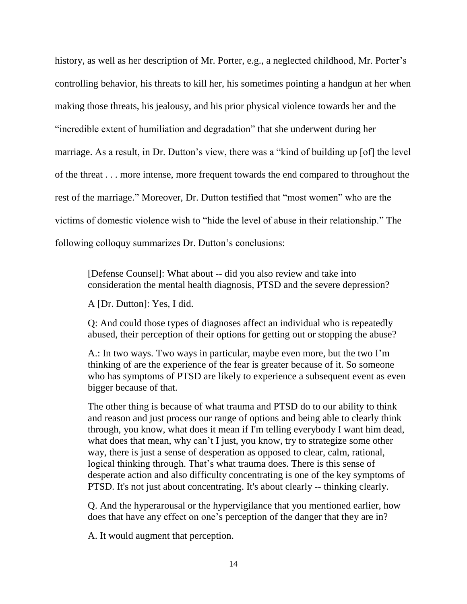history, as well as her description of Mr. Porter, e.g., a neglected childhood, Mr. Porter's controlling behavior, his threats to kill her, his sometimes pointing a handgun at her when making those threats, his jealousy, and his prior physical violence towards her and the "incredible extent of humiliation and degradation" that she underwent during her marriage. As a result, in Dr. Dutton's view, there was a "kind of building up [of] the level of the threat . . . more intense, more frequent towards the end compared to throughout the rest of the marriage." Moreover, Dr. Dutton testified that "most women" who are the victims of domestic violence wish to "hide the level of abuse in their relationship." The following colloquy summarizes Dr. Dutton's conclusions:

[Defense Counsel]: What about -- did you also review and take into consideration the mental health diagnosis, PTSD and the severe depression?

A [Dr. Dutton]: Yes, I did.

Q: And could those types of diagnoses affect an individual who is repeatedly abused, their perception of their options for getting out or stopping the abuse?

A.: In two ways. Two ways in particular, maybe even more, but the two I'm thinking of are the experience of the fear is greater because of it. So someone who has symptoms of PTSD are likely to experience a subsequent event as even bigger because of that.

The other thing is because of what trauma and PTSD do to our ability to think and reason and just process our range of options and being able to clearly think through, you know, what does it mean if I'm telling everybody I want him dead, what does that mean, why can't I just, you know, try to strategize some other way, there is just a sense of desperation as opposed to clear, calm, rational, logical thinking through. That's what trauma does. There is this sense of desperate action and also difficulty concentrating is one of the key symptoms of PTSD. It's not just about concentrating. It's about clearly -- thinking clearly.

Q. And the hyperarousal or the hypervigilance that you mentioned earlier, how does that have any effect on one's perception of the danger that they are in?

A. It would augment that perception.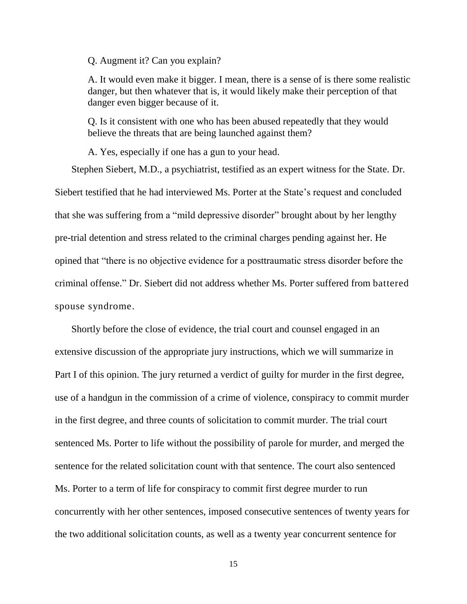Q. Augment it? Can you explain?

A. It would even make it bigger. I mean, there is a sense of is there some realistic danger, but then whatever that is, it would likely make their perception of that danger even bigger because of it.

Q. Is it consistent with one who has been abused repeatedly that they would believe the threats that are being launched against them?

A. Yes, especially if one has a gun to your head.

Stephen Siebert, M.D., a psychiatrist, testified as an expert witness for the State. Dr.

Siebert testified that he had interviewed Ms. Porter at the State's request and concluded that she was suffering from a "mild depressive disorder" brought about by her lengthy pre-trial detention and stress related to the criminal charges pending against her. He opined that "there is no objective evidence for a posttraumatic stress disorder before the criminal offense." Dr. Siebert did not address whether Ms. Porter suffered from battered spouse syndrome.

Shortly before the close of evidence, the trial court and counsel engaged in an extensive discussion of the appropriate jury instructions, which we will summarize in Part I of this opinion. The jury returned a verdict of guilty for murder in the first degree, use of a handgun in the commission of a crime of violence, conspiracy to commit murder in the first degree, and three counts of solicitation to commit murder. The trial court sentenced Ms. Porter to life without the possibility of parole for murder, and merged the sentence for the related solicitation count with that sentence. The court also sentenced Ms. Porter to a term of life for conspiracy to commit first degree murder to run concurrently with her other sentences, imposed consecutive sentences of twenty years for the two additional solicitation counts, as well as a twenty year concurrent sentence for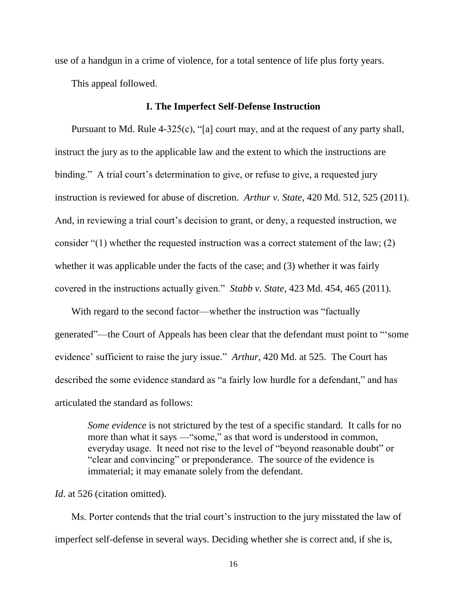use of a handgun in a crime of violence, for a total sentence of life plus forty years.

This appeal followed.

#### **I. The Imperfect Self-Defense Instruction**

Pursuant to Md. Rule 4-325(c), "[a] court may, and at the request of any party shall, instruct the jury as to the applicable law and the extent to which the instructions are binding." A trial court's determination to give, or refuse to give, a requested jury instruction is reviewed for abuse of discretion. *Arthur v. State*, 420 Md. 512, 525 (2011). And, in reviewing a trial court's decision to grant, or deny, a requested instruction, we consider "(1) whether the requested instruction was a correct statement of the law; (2) whether it was applicable under the facts of the case; and (3) whether it was fairly covered in the instructions actually given." *Stabb v. State*, 423 Md. 454, 465 (2011).

With regard to the second factor—whether the instruction was "factually generated"—the Court of Appeals has been clear that the defendant must point to "'some evidence' sufficient to raise the jury issue." *Arthur*, 420 Md. at 525. The Court has described the some evidence standard as "a fairly low hurdle for a defendant," and has articulated the standard as follows:

*Some evidence* is not strictured by the test of a specific standard. It calls for no more than what it says —"some," as that word is understood in common, everyday usage. It need not rise to the level of "beyond reasonable doubt" or "clear and convincing" or preponderance. The source of the evidence is immaterial; it may emanate solely from the defendant.

*Id.* at 526 (citation omitted).

Ms. Porter contends that the trial court's instruction to the jury misstated the law of imperfect self-defense in several ways. Deciding whether she is correct and, if she is,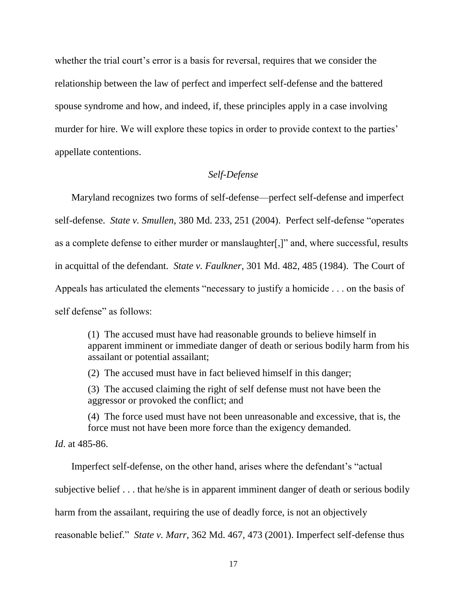whether the trial court's error is a basis for reversal, requires that we consider the relationship between the law of perfect and imperfect self-defense and the battered spouse syndrome and how, and indeed, if, these principles apply in a case involving murder for hire. We will explore these topics in order to provide context to the parties' appellate contentions.

## *Self-Defense*

Maryland recognizes two forms of self-defense––perfect self-defense and imperfect self-defense. *State v. Smullen*, 380 Md. 233, 251 (2004). Perfect self-defense "operates as a complete defense to either murder or manslaughter[,]" and, where successful, results in acquittal of the defendant. *State v. Faulkner*, 301 Md. 482, 485 (1984). The Court of Appeals has articulated the elements "necessary to justify a homicide . . . on the basis of self defense" as follows:

(1) The accused must have had reasonable grounds to believe himself in apparent imminent or immediate danger of death or serious bodily harm from his assailant or potential assailant;

(2) The accused must have in fact believed himself in this danger;

(3) The accused claiming the right of self defense must not have been the aggressor or provoked the conflict; and

(4) The force used must have not been unreasonable and excessive, that is, the force must not have been more force than the exigency demanded.

*Id*. at 485-86.

Imperfect self-defense, on the other hand, arises where the defendant's "actual subjective belief . . . that he/she is in apparent imminent danger of death or serious bodily harm from the assailant, requiring the use of deadly force, is not an objectively reasonable belief." *State v. Marr*, 362 Md. 467, 473 (2001). Imperfect self-defense thus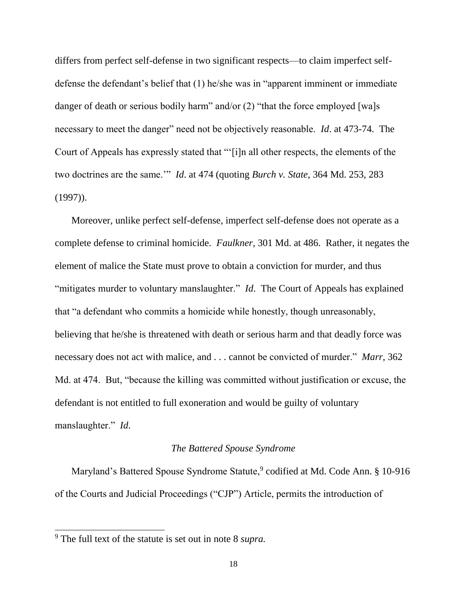differs from perfect self-defense in two significant respects—to claim imperfect selfdefense the defendant's belief that (1) he/she was in "apparent imminent or immediate danger of death or serious bodily harm" and/or (2) "that the force employed [wa]s necessary to meet the danger" need not be objectively reasonable. *Id*. at 473-74. The Court of Appeals has expressly stated that "'[i]n all other respects, the elements of the two doctrines are the same.'" *Id*. at 474 (quoting *Burch v. State*, 364 Md. 253, 283 (1997)).

Moreover, unlike perfect self-defense, imperfect self-defense does not operate as a complete defense to criminal homicide. *Faulkner*, 301 Md. at 486. Rather, it negates the element of malice the State must prove to obtain a conviction for murder, and thus "mitigates murder to voluntary manslaughter." *Id*. The Court of Appeals has explained that "a defendant who commits a homicide while honestly, though unreasonably, believing that he/she is threatened with death or serious harm and that deadly force was necessary does not act with malice, and . . . cannot be convicted of murder." *Marr*, 362 Md. at 474. But, "because the killing was committed without justification or excuse, the defendant is not entitled to full exoneration and would be guilty of voluntary manslaughter." *Id*.

### *The Battered Spouse Syndrome*

Maryland's Battered Spouse Syndrome Statute,<sup>9</sup> codified at Md. Code Ann. § 10-916 of the Courts and Judicial Proceedings ("CJP") Article, permits the introduction of

<sup>9</sup> The full text of the statute is set out in note 8 *supra.*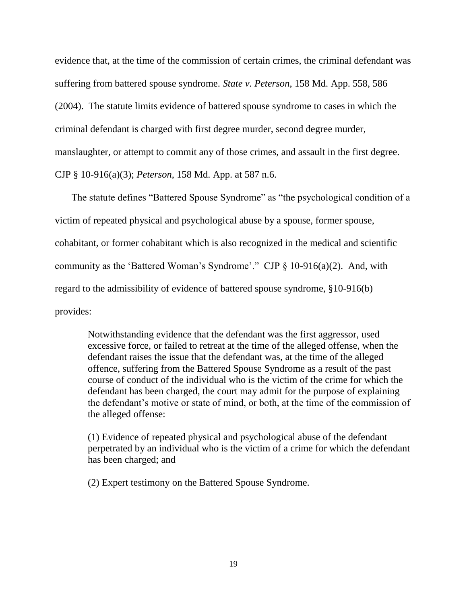evidence that, at the time of the commission of certain crimes, the criminal defendant was suffering from battered spouse syndrome. *State v. Peterson*, 158 Md. App. 558, 586 (2004). The statute limits evidence of battered spouse syndrome to cases in which the criminal defendant is charged with first degree murder, second degree murder, manslaughter, or attempt to commit any of those crimes, and assault in the first degree. CJP § 10-916(a)(3); *Peterson*, 158 Md. App. at 587 n.6.

The statute defines "Battered Spouse Syndrome" as "the psychological condition of a victim of repeated physical and psychological abuse by a spouse, former spouse, cohabitant, or former cohabitant which is also recognized in the medical and scientific community as the 'Battered Woman's Syndrome'." CJP  $\S$  10-916(a)(2). And, with regard to the admissibility of evidence of battered spouse syndrome, §10-916(b) provides:

Notwithstanding evidence that the defendant was the first aggressor, used excessive force, or failed to retreat at the time of the alleged offense, when the defendant raises the issue that the defendant was, at the time of the alleged offence, suffering from the Battered Spouse Syndrome as a result of the past course of conduct of the individual who is the victim of the crime for which the defendant has been charged, the court may admit for the purpose of explaining the defendant's motive or state of mind, or both, at the time of the commission of the alleged offense:

(1) Evidence of repeated physical and psychological abuse of the defendant perpetrated by an individual who is the victim of a crime for which the defendant has been charged; and

(2) Expert testimony on the Battered Spouse Syndrome.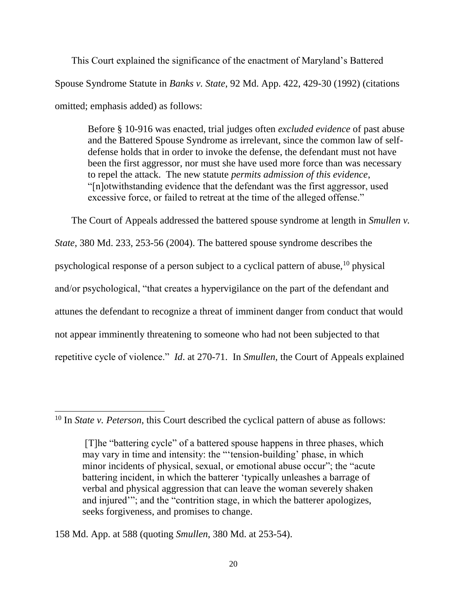This Court explained the significance of the enactment of Maryland's Battered Spouse Syndrome Statute in *Banks v. State*, 92 Md. App. 422, 429-30 (1992) (citations omitted; emphasis added) as follows:

Before § 10-916 was enacted, trial judges often *excluded evidence* of past abuse and the Battered Spouse Syndrome as irrelevant, since the common law of selfdefense holds that in order to invoke the defense, the defendant must not have been the first aggressor, nor must she have used more force than was necessary to repel the attack. The new statute *permits admission of this evidence*, "[n]otwithstanding evidence that the defendant was the first aggressor, used excessive force, or failed to retreat at the time of the alleged offense."

The Court of Appeals addressed the battered spouse syndrome at length in *Smullen v. State*, 380 Md. 233, 253-56 (2004). The battered spouse syndrome describes the psychological response of a person subject to a cyclical pattern of abuse,  $10$  physical and/or psychological, "that creates a hypervigilance on the part of the defendant and attunes the defendant to recognize a threat of imminent danger from conduct that would not appear imminently threatening to someone who had not been subjected to that repetitive cycle of violence." *Id*. at 270-71. In *Smullen*, the Court of Appeals explained

158 Md. App. at 588 (quoting *Smullen*, 380 Md. at 253-54).

<sup>10</sup> In *State v. Peterson*, this Court described the cyclical pattern of abuse as follows:

<sup>[</sup>T]he "battering cycle" of a battered spouse happens in three phases, which may vary in time and intensity: the "'tension-building' phase, in which minor incidents of physical, sexual, or emotional abuse occur"; the "acute battering incident, in which the batterer 'typically unleashes a barrage of verbal and physical aggression that can leave the woman severely shaken and injured'"; and the "contrition stage, in which the batterer apologizes, seeks forgiveness, and promises to change.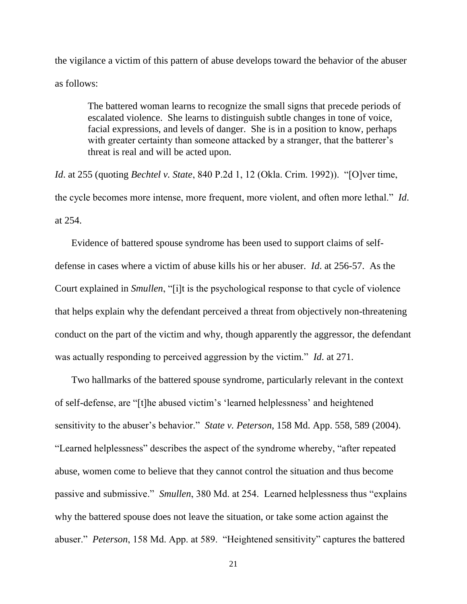the vigilance a victim of this pattern of abuse develops toward the behavior of the abuser as follows:

The battered woman learns to recognize the small signs that precede periods of escalated violence. She learns to distinguish subtle changes in tone of voice, facial expressions, and levels of danger. She is in a position to know, perhaps with greater certainty than someone attacked by a stranger, that the batterer's threat is real and will be acted upon.

*Id*. at 255 (quoting *Bechtel v. State*, 840 P.2d 1, 12 (Okla. Crim. 1992)). "[O]ver time, the cycle becomes more intense, more frequent, more violent, and often more lethal." *Id*. at 254.

Evidence of battered spouse syndrome has been used to support claims of selfdefense in cases where a victim of abuse kills his or her abuser. *Id*. at 256-57. As the Court explained in *Smullen*, "[i]t is the psychological response to that cycle of violence that helps explain why the defendant perceived a threat from objectively non-threatening conduct on the part of the victim and why, though apparently the aggressor, the defendant was actually responding to perceived aggression by the victim." *Id*. at 271.

Two hallmarks of the battered spouse syndrome, particularly relevant in the context of self-defense, are "[t]he abused victim's 'learned helplessness' and heightened sensitivity to the abuser's behavior." *State v. Peterson*, 158 Md. App. 558, 589 (2004). "Learned helplessness" describes the aspect of the syndrome whereby, "after repeated abuse, women come to believe that they cannot control the situation and thus become passive and submissive." *Smullen*, 380 Md. at 254. Learned helplessness thus "explains why the battered spouse does not leave the situation, or take some action against the abuser." *Peterson*, 158 Md. App. at 589. "Heightened sensitivity" captures the battered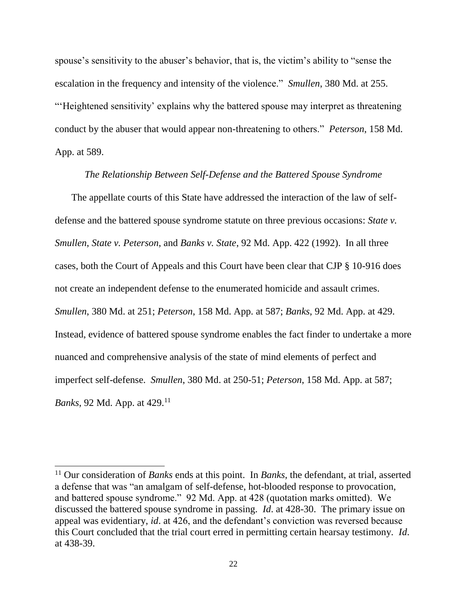spouse's sensitivity to the abuser's behavior, that is, the victim's ability to "sense the escalation in the frequency and intensity of the violence." *Smullen*, 380 Md. at 255. "'Heightened sensitivity' explains why the battered spouse may interpret as threatening conduct by the abuser that would appear non-threatening to others." *Peterson*, 158 Md. App. at 589.

#### *The Relationship Between Self-Defense and the Battered Spouse Syndrome*

The appellate courts of this State have addressed the interaction of the law of selfdefense and the battered spouse syndrome statute on three previous occasions: *State v. Smullen*, *State v. Peterson*, and *Banks v. State*, 92 Md. App. 422 (1992). In all three cases, both the Court of Appeals and this Court have been clear that CJP § 10-916 does not create an independent defense to the enumerated homicide and assault crimes. *Smullen*, 380 Md. at 251; *Peterson*, 158 Md. App. at 587; *Banks*, 92 Md. App. at 429. Instead, evidence of battered spouse syndrome enables the fact finder to undertake a more nuanced and comprehensive analysis of the state of mind elements of perfect and imperfect self-defense. *Smullen*, 380 Md. at 250-51; *Peterson*, 158 Md. App. at 587; *Banks*, 92 Md. App. at 429.<sup>11</sup>

<sup>11</sup> Our consideration of *Banks* ends at this point. In *Banks*, the defendant, at trial, asserted a defense that was "an amalgam of self-defense, hot-blooded response to provocation, and battered spouse syndrome." 92 Md. App. at 428 (quotation marks omitted). We discussed the battered spouse syndrome in passing. *Id*. at 428-30. The primary issue on appeal was evidentiary, *id*. at 426, and the defendant's conviction was reversed because this Court concluded that the trial court erred in permitting certain hearsay testimony. *Id*. at 438-39.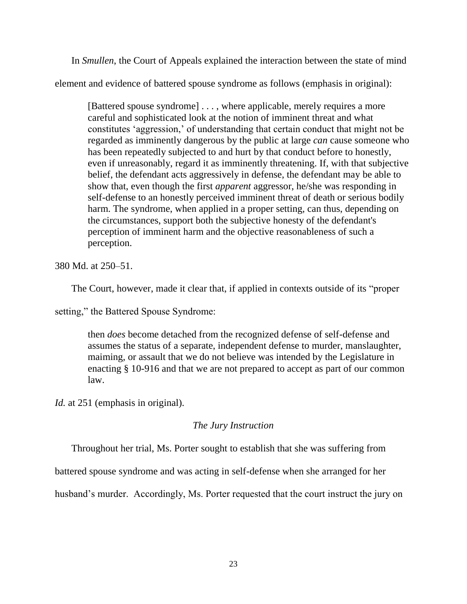In *Smullen*, the Court of Appeals explained the interaction between the state of mind

element and evidence of battered spouse syndrome as follows (emphasis in original):

[Battered spouse syndrome] . . . , where applicable, merely requires a more careful and sophisticated look at the notion of imminent threat and what constitutes 'aggression,' of understanding that certain conduct that might not be regarded as imminently dangerous by the public at large *can* cause someone who has been repeatedly subjected to and hurt by that conduct before to honestly, even if unreasonably, regard it as imminently threatening. If, with that subjective belief, the defendant acts aggressively in defense, the defendant may be able to show that, even though the first *apparent* aggressor, he/she was responding in self-defense to an honestly perceived imminent threat of death or serious bodily harm. The syndrome, when applied in a proper setting, can thus, depending on the circumstances, support both the subjective honesty of the defendant's perception of imminent harm and the objective reasonableness of such a perception.

380 Md. at 250–51.

The Court, however, made it clear that, if applied in contexts outside of its "proper

setting," the Battered Spouse Syndrome:

then *does* become detached from the recognized defense of self-defense and assumes the status of a separate, independent defense to murder, manslaughter, maiming, or assault that we do not believe was intended by the Legislature in enacting § 10-916 and that we are not prepared to accept as part of our common law.

*Id.* at 251 (emphasis in original).

## *The Jury Instruction*

Throughout her trial, Ms. Porter sought to establish that she was suffering from

battered spouse syndrome and was acting in self-defense when she arranged for her

husband's murder. Accordingly, Ms. Porter requested that the court instruct the jury on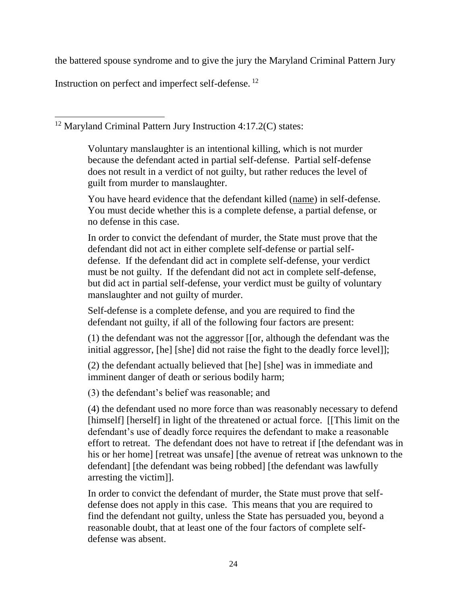the battered spouse syndrome and to give the jury the Maryland Criminal Pattern Jury

Instruction on perfect and imperfect self-defense.<sup>12</sup>

 $\overline{a}$ <sup>12</sup> Maryland Criminal Pattern Jury Instruction 4:17.2(C) states:

> Voluntary manslaughter is an intentional killing, which is not murder because the defendant acted in partial self-defense. Partial self-defense does not result in a verdict of not guilty, but rather reduces the level of guilt from murder to manslaughter.

You have heard evidence that the defendant killed (name) in self-defense. You must decide whether this is a complete defense, a partial defense, or no defense in this case.

In order to convict the defendant of murder, the State must prove that the defendant did not act in either complete self-defense or partial selfdefense. If the defendant did act in complete self-defense, your verdict must be not guilty. If the defendant did not act in complete self-defense, but did act in partial self-defense, your verdict must be guilty of voluntary manslaughter and not guilty of murder.

Self-defense is a complete defense, and you are required to find the defendant not guilty, if all of the following four factors are present:

(1) the defendant was not the aggressor [[or, although the defendant was the initial aggressor, [he] [she] did not raise the fight to the deadly force level]];

(2) the defendant actually believed that [he] [she] was in immediate and imminent danger of death or serious bodily harm;

(3) the defendant's belief was reasonable; and

(4) the defendant used no more force than was reasonably necessary to defend [himself] [herself] in light of the threatened or actual force. [[This limit on the defendant's use of deadly force requires the defendant to make a reasonable effort to retreat. The defendant does not have to retreat if [the defendant was in his or her home] [retreat was unsafe] [the avenue of retreat was unknown to the defendant] [the defendant was being robbed] [the defendant was lawfully arresting the victim]].

In order to convict the defendant of murder, the State must prove that selfdefense does not apply in this case. This means that you are required to find the defendant not guilty, unless the State has persuaded you, beyond a reasonable doubt, that at least one of the four factors of complete selfdefense was absent.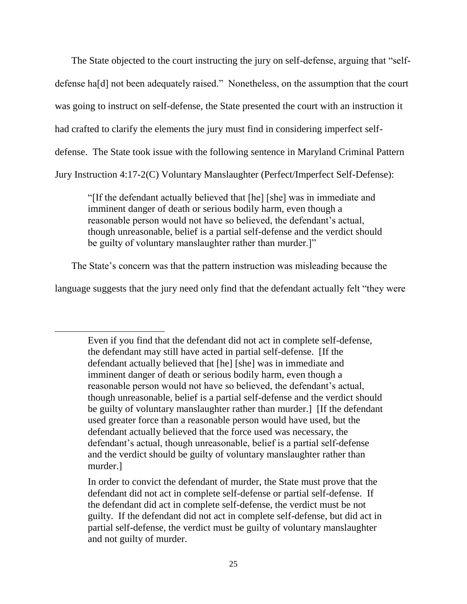The State objected to the court instructing the jury on self-defense, arguing that "selfdefense ha[d] not been adequately raised." Nonetheless, on the assumption that the court was going to instruct on self-defense, the State presented the court with an instruction it had crafted to clarify the elements the jury must find in considering imperfect selfdefense. The State took issue with the following sentence in Maryland Criminal Pattern Jury Instruction 4:17-2(C) Voluntary Manslaughter (Perfect/Imperfect Self-Defense):

"[If the defendant actually believed that [he] [she] was in immediate and imminent danger of death or serious bodily harm, even though a reasonable person would not have so believed, the defendant's actual, though unreasonable, belief is a partial self-defense and the verdict should be guilty of voluntary manslaughter rather than murder.]"

The State's concern was that the pattern instruction was misleading because the

language suggests that the jury need only find that the defendant actually felt "they were

Even if you find that the defendant did not act in complete self-defense, the defendant may still have acted in partial self-defense. [If the defendant actually believed that [he] [she] was in immediate and imminent danger of death or serious bodily harm, even though a reasonable person would not have so believed, the defendant's actual, though unreasonable, belief is a partial self-defense and the verdict should be guilty of voluntary manslaughter rather than murder.] [If the defendant used greater force than a reasonable person would have used, but the defendant actually believed that the force used was necessary, the defendant's actual, though unreasonable, belief is a partial self-defense and the verdict should be guilty of voluntary manslaughter rather than murder.]

In order to convict the defendant of murder, the State must prove that the defendant did not act in complete self-defense or partial self-defense. If the defendant did act in complete self-defense, the verdict must be not guilty. If the defendant did not act in complete self-defense, but did act in partial self-defense, the verdict must be guilty of voluntary manslaughter and not guilty of murder.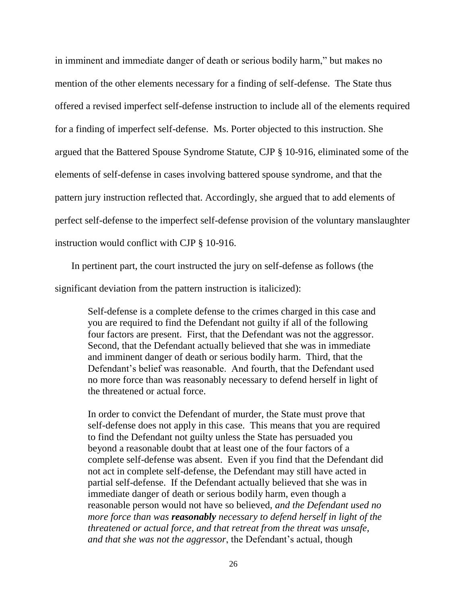in imminent and immediate danger of death or serious bodily harm," but makes no mention of the other elements necessary for a finding of self-defense. The State thus offered a revised imperfect self-defense instruction to include all of the elements required for a finding of imperfect self-defense. Ms. Porter objected to this instruction. She argued that the Battered Spouse Syndrome Statute, CJP § 10-916, eliminated some of the elements of self-defense in cases involving battered spouse syndrome, and that the pattern jury instruction reflected that. Accordingly, she argued that to add elements of perfect self-defense to the imperfect self-defense provision of the voluntary manslaughter instruction would conflict with CJP § 10-916.

In pertinent part, the court instructed the jury on self-defense as follows (the

significant deviation from the pattern instruction is italicized):

Self-defense is a complete defense to the crimes charged in this case and you are required to find the Defendant not guilty if all of the following four factors are present. First, that the Defendant was not the aggressor. Second, that the Defendant actually believed that she was in immediate and imminent danger of death or serious bodily harm. Third, that the Defendant's belief was reasonable. And fourth, that the Defendant used no more force than was reasonably necessary to defend herself in light of the threatened or actual force.

In order to convict the Defendant of murder, the State must prove that self-defense does not apply in this case. This means that you are required to find the Defendant not guilty unless the State has persuaded you beyond a reasonable doubt that at least one of the four factors of a complete self-defense was absent. Even if you find that the Defendant did not act in complete self-defense, the Defendant may still have acted in partial self-defense. If the Defendant actually believed that she was in immediate danger of death or serious bodily harm, even though a reasonable person would not have so believed, *and the Defendant used no more force than was reasonably necessary to defend herself in light of the threatened or actual force, and that retreat from the threat was unsafe, and that she was not the aggressor*, the Defendant's actual, though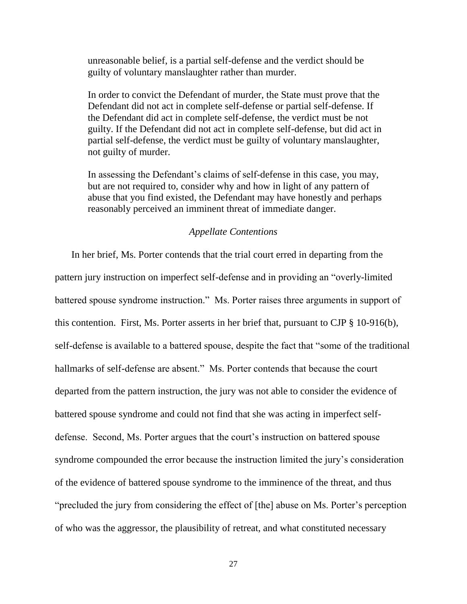unreasonable belief, is a partial self-defense and the verdict should be guilty of voluntary manslaughter rather than murder.

In order to convict the Defendant of murder, the State must prove that the Defendant did not act in complete self-defense or partial self-defense. If the Defendant did act in complete self-defense, the verdict must be not guilty. If the Defendant did not act in complete self-defense, but did act in partial self-defense, the verdict must be guilty of voluntary manslaughter, not guilty of murder.

In assessing the Defendant's claims of self-defense in this case, you may, but are not required to, consider why and how in light of any pattern of abuse that you find existed, the Defendant may have honestly and perhaps reasonably perceived an imminent threat of immediate danger.

#### *Appellate Contentions*

In her brief, Ms. Porter contends that the trial court erred in departing from the pattern jury instruction on imperfect self-defense and in providing an "overly-limited battered spouse syndrome instruction." Ms. Porter raises three arguments in support of this contention. First, Ms. Porter asserts in her brief that, pursuant to CJP § 10-916(b), self-defense is available to a battered spouse, despite the fact that "some of the traditional hallmarks of self-defense are absent." Ms. Porter contends that because the court departed from the pattern instruction, the jury was not able to consider the evidence of battered spouse syndrome and could not find that she was acting in imperfect selfdefense. Second, Ms. Porter argues that the court's instruction on battered spouse syndrome compounded the error because the instruction limited the jury's consideration of the evidence of battered spouse syndrome to the imminence of the threat, and thus "precluded the jury from considering the effect of [the] abuse on Ms. Porter's perception of who was the aggressor, the plausibility of retreat, and what constituted necessary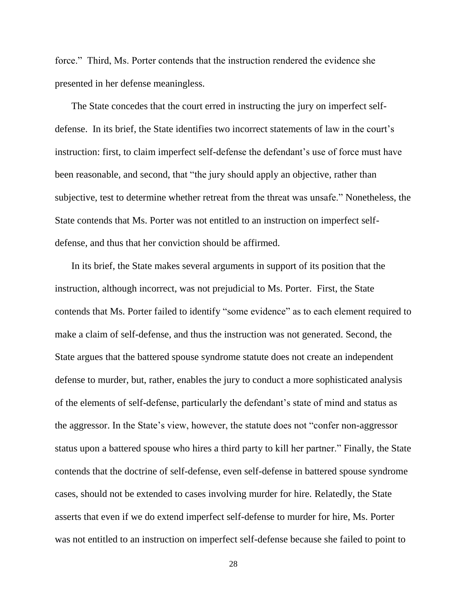force." Third, Ms. Porter contends that the instruction rendered the evidence she presented in her defense meaningless.

The State concedes that the court erred in instructing the jury on imperfect selfdefense. In its brief, the State identifies two incorrect statements of law in the court's instruction: first, to claim imperfect self-defense the defendant's use of force must have been reasonable, and second, that "the jury should apply an objective, rather than subjective, test to determine whether retreat from the threat was unsafe." Nonetheless, the State contends that Ms. Porter was not entitled to an instruction on imperfect selfdefense, and thus that her conviction should be affirmed.

In its brief, the State makes several arguments in support of its position that the instruction, although incorrect, was not prejudicial to Ms. Porter. First, the State contends that Ms. Porter failed to identify "some evidence" as to each element required to make a claim of self-defense, and thus the instruction was not generated. Second, the State argues that the battered spouse syndrome statute does not create an independent defense to murder, but, rather, enables the jury to conduct a more sophisticated analysis of the elements of self-defense, particularly the defendant's state of mind and status as the aggressor. In the State's view, however, the statute does not "confer non-aggressor status upon a battered spouse who hires a third party to kill her partner." Finally, the State contends that the doctrine of self-defense, even self-defense in battered spouse syndrome cases, should not be extended to cases involving murder for hire. Relatedly, the State asserts that even if we do extend imperfect self-defense to murder for hire, Ms. Porter was not entitled to an instruction on imperfect self-defense because she failed to point to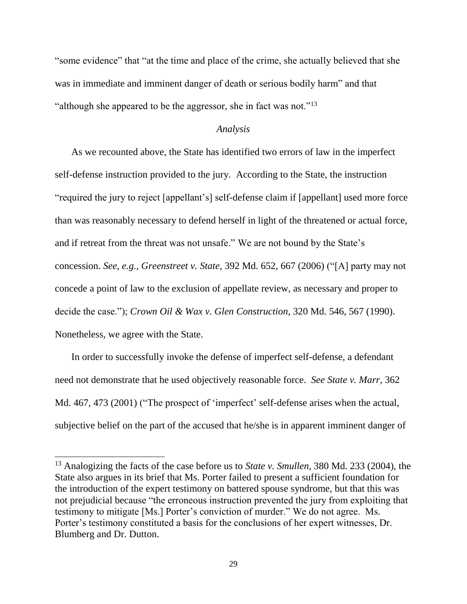"some evidence" that "at the time and place of the crime, she actually believed that she was in immediate and imminent danger of death or serious bodily harm" and that "although she appeared to be the aggressor, she in fact was not."<sup>13</sup>

### *Analysis*

As we recounted above, the State has identified two errors of law in the imperfect self-defense instruction provided to the jury. According to the State, the instruction "required the jury to reject [appellant's] self-defense claim if [appellant] used more force than was reasonably necessary to defend herself in light of the threatened or actual force, and if retreat from the threat was not unsafe." We are not bound by the State's concession. *See*, *e.g.*, *Greenstreet v. State*, 392 Md. 652, 667 (2006) ("[A] party may not concede a point of law to the exclusion of appellate review, as necessary and proper to decide the case."); *Crown Oil & Wax v. Glen Construction*, 320 Md. 546, 567 (1990). Nonetheless, we agree with the State.

In order to successfully invoke the defense of imperfect self-defense, a defendant need not demonstrate that he used objectively reasonable force. *See State v. Marr*, 362 Md. 467, 473 (2001) ("The prospect of 'imperfect' self-defense arises when the actual, subjective belief on the part of the accused that he/she is in apparent imminent danger of

<sup>13</sup> Analogizing the facts of the case before us to *State v. Smullen*, 380 Md. 233 (2004), the State also argues in its brief that Ms. Porter failed to present a sufficient foundation for the introduction of the expert testimony on battered spouse syndrome, but that this was not prejudicial because "the erroneous instruction prevented the jury from exploiting that testimony to mitigate [Ms.] Porter's conviction of murder." We do not agree. Ms. Porter's testimony constituted a basis for the conclusions of her expert witnesses, Dr. Blumberg and Dr. Dutton.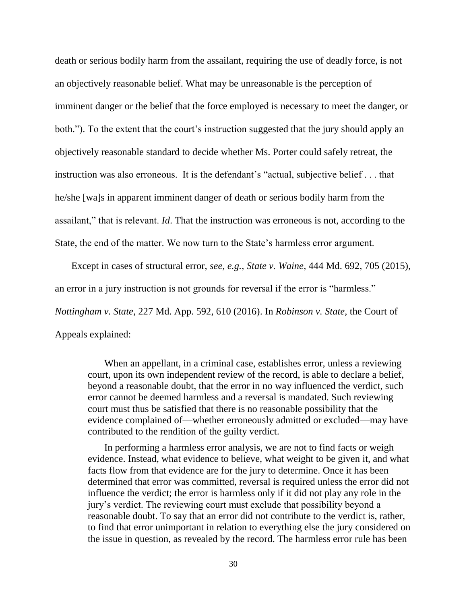death or serious bodily harm from the assailant, requiring the use of deadly force, is not an objectively reasonable belief. What may be unreasonable is the perception of imminent danger or the belief that the force employed is necessary to meet the danger, or both."). To the extent that the court's instruction suggested that the jury should apply an objectively reasonable standard to decide whether Ms. Porter could safely retreat, the instruction was also erroneous. It is the defendant's "actual, subjective belief . . . that he/she [wa]s in apparent imminent danger of death or serious bodily harm from the assailant," that is relevant. *Id*. That the instruction was erroneous is not, according to the State, the end of the matter. We now turn to the State's harmless error argument.

Except in cases of structural error, *see, e.g., State v. Waine,* 444 Md. 692, 705 (2015), an error in a jury instruction is not grounds for reversal if the error is "harmless." *Nottingham v. State*, 227 Md. App. 592, 610 (2016). In *Robinson v. State,* the Court of Appeals explained:

When an appellant, in a criminal case, establishes error, unless a reviewing court, upon its own independent review of the record, is able to declare a belief, beyond a reasonable doubt, that the error in no way influenced the verdict, such error cannot be deemed harmless and a reversal is mandated. Such reviewing court must thus be satisfied that there is no reasonable possibility that the evidence complained of—whether erroneously admitted or excluded—may have contributed to the rendition of the guilty verdict.

In performing a harmless error analysis, we are not to find facts or weigh evidence. Instead, what evidence to believe, what weight to be given it, and what facts flow from that evidence are for the jury to determine. Once it has been determined that error was committed, reversal is required unless the error did not influence the verdict; the error is harmless only if it did not play any role in the jury's verdict. The reviewing court must exclude that possibility beyond a reasonable doubt. To say that an error did not contribute to the verdict is, rather, to find that error unimportant in relation to everything else the jury considered on the issue in question, as revealed by the record. The harmless error rule has been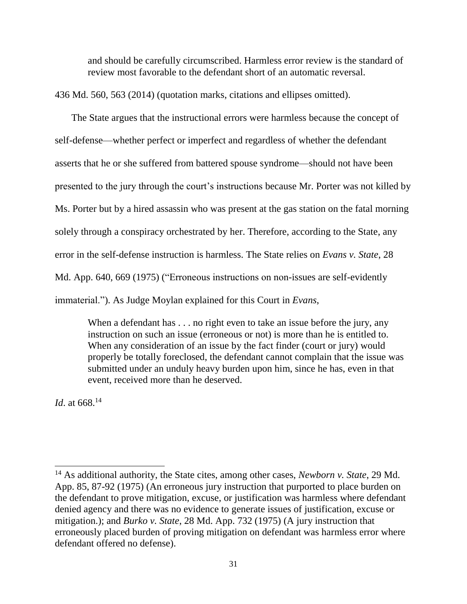and should be carefully circumscribed. Harmless error review is the standard of review most favorable to the defendant short of an automatic reversal.

436 Md. 560, 563 (2014) (quotation marks, citations and ellipses omitted).

The State argues that the instructional errors were harmless because the concept of self-defense—whether perfect or imperfect and regardless of whether the defendant asserts that he or she suffered from battered spouse syndrome—should not have been presented to the jury through the court's instructions because Mr. Porter was not killed by Ms. Porter but by a hired assassin who was present at the gas station on the fatal morning solely through a conspiracy orchestrated by her. Therefore, according to the State, any error in the self-defense instruction is harmless. The State relies on *Evans v. State*, 28 Md. App. 640, 669 (1975) ("Erroneous instructions on non-issues are self-evidently immaterial."). As Judge Moylan explained for this Court in *Evans*,

When a defendant has . . . no right even to take an issue before the jury, any instruction on such an issue (erroneous or not) is more than he is entitled to. When any consideration of an issue by the fact finder (court or jury) would properly be totally foreclosed, the defendant cannot complain that the issue was submitted under an unduly heavy burden upon him, since he has, even in that event, received more than he deserved.

*Id*. at 668.<sup>14</sup>

<sup>14</sup> As additional authority, the State cites, among other cases, *Newborn v. State*, 29 Md. App. 85, 87-92 (1975) (An erroneous jury instruction that purported to place burden on the defendant to prove mitigation, excuse, or justification was harmless where defendant denied agency and there was no evidence to generate issues of justification, excuse or mitigation.); and *Burko v. State*, 28 Md. App. 732 (1975) (A jury instruction that erroneously placed burden of proving mitigation on defendant was harmless error where defendant offered no defense).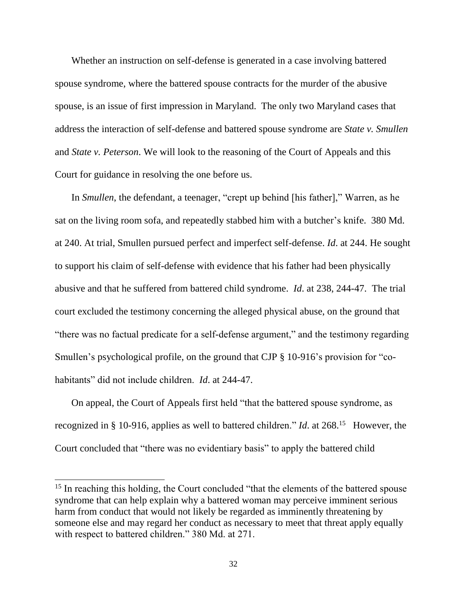Whether an instruction on self-defense is generated in a case involving battered spouse syndrome, where the battered spouse contracts for the murder of the abusive spouse, is an issue of first impression in Maryland. The only two Maryland cases that address the interaction of self-defense and battered spouse syndrome are *State v. Smullen*  and *State v. Peterson*. We will look to the reasoning of the Court of Appeals and this Court for guidance in resolving the one before us.

In *Smullen*, the defendant, a teenager, "crept up behind [his father]," Warren, as he sat on the living room sofa, and repeatedly stabbed him with a butcher's knife. 380 Md. at 240. At trial, Smullen pursued perfect and imperfect self-defense. *Id*. at 244. He sought to support his claim of self-defense with evidence that his father had been physically abusive and that he suffered from battered child syndrome. *Id*. at 238, 244-47. The trial court excluded the testimony concerning the alleged physical abuse, on the ground that "there was no factual predicate for a self-defense argument," and the testimony regarding Smullen's psychological profile, on the ground that CJP § 10-916's provision for "cohabitants" did not include children. *Id*. at 244-47.

On appeal, the Court of Appeals first held "that the battered spouse syndrome, as recognized in § 10-916, applies as well to battered children." *Id*. at 268.<sup>15</sup> However, the Court concluded that "there was no evidentiary basis" to apply the battered child

l

<sup>&</sup>lt;sup>15</sup> In reaching this holding, the Court concluded "that the elements of the battered spouse syndrome that can help explain why a battered woman may perceive imminent serious harm from conduct that would not likely be regarded as imminently threatening by someone else and may regard her conduct as necessary to meet that threat apply equally with respect to battered children." 380 Md. at 271.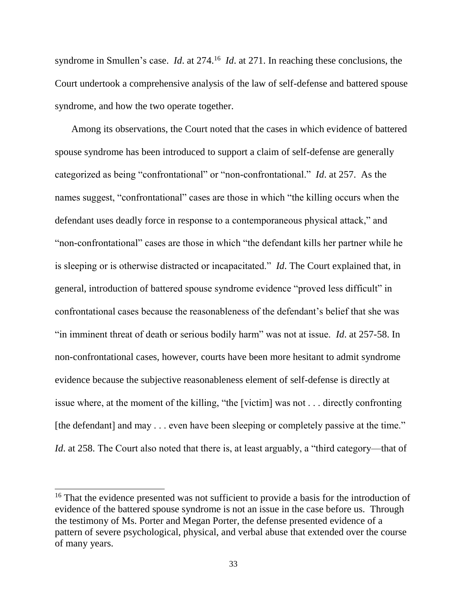syndrome in Smullen's case. *Id.* at 274.<sup>16</sup> *Id.* at 271. In reaching these conclusions, the Court undertook a comprehensive analysis of the law of self-defense and battered spouse syndrome, and how the two operate together.

Among its observations, the Court noted that the cases in which evidence of battered spouse syndrome has been introduced to support a claim of self-defense are generally categorized as being "confrontational" or "non-confrontational." *Id*. at 257. As the names suggest, "confrontational" cases are those in which "the killing occurs when the defendant uses deadly force in response to a contemporaneous physical attack," and "non-confrontational" cases are those in which "the defendant kills her partner while he is sleeping or is otherwise distracted or incapacitated." *Id*. The Court explained that, in general, introduction of battered spouse syndrome evidence "proved less difficult" in confrontational cases because the reasonableness of the defendant's belief that she was "in imminent threat of death or serious bodily harm" was not at issue. *Id*. at 257-58. In non-confrontational cases, however, courts have been more hesitant to admit syndrome evidence because the subjective reasonableness element of self-defense is directly at issue where, at the moment of the killing, "the [victim] was not . . . directly confronting [the defendant] and may . . . even have been sleeping or completely passive at the time." *Id.* at 258. The Court also noted that there is, at least arguably, a "third category—that of

l

<sup>&</sup>lt;sup>16</sup> That the evidence presented was not sufficient to provide a basis for the introduction of evidence of the battered spouse syndrome is not an issue in the case before us. Through the testimony of Ms. Porter and Megan Porter, the defense presented evidence of a pattern of severe psychological, physical, and verbal abuse that extended over the course of many years.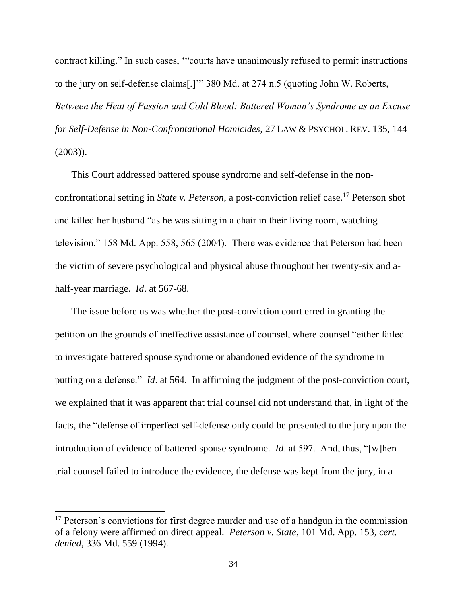contract killing." In such cases, '"courts have unanimously refused to permit instructions to the jury on self-defense claims[.]'" 380 Md. at 274 n.5 (quoting John W. Roberts, *Between the Heat of Passion and Cold Blood: Battered Woman's Syndrome as an Excuse for Self-Defense in Non-Confrontational Homicides,* 27 LAW & PSYCHOL. REV. 135, 144 (2003)).

This Court addressed battered spouse syndrome and self-defense in the nonconfrontational setting in *State v. Peterson*, a post-conviction relief case.<sup>17</sup> Peterson shot and killed her husband "as he was sitting in a chair in their living room, watching television." 158 Md. App. 558, 565 (2004). There was evidence that Peterson had been the victim of severe psychological and physical abuse throughout her twenty-six and ahalf-year marriage. *Id*. at 567-68.

The issue before us was whether the post-conviction court erred in granting the petition on the grounds of ineffective assistance of counsel, where counsel "either failed to investigate battered spouse syndrome or abandoned evidence of the syndrome in putting on a defense." *Id*. at 564. In affirming the judgment of the post-conviction court, we explained that it was apparent that trial counsel did not understand that, in light of the facts, the "defense of imperfect self-defense only could be presented to the jury upon the introduction of evidence of battered spouse syndrome. *Id*. at 597. And, thus, "[w]hen trial counsel failed to introduce the evidence, the defense was kept from the jury, in a

<sup>&</sup>lt;sup>17</sup> Peterson's convictions for first degree murder and use of a handgun in the commission of a felony were affirmed on direct appeal. *Peterson v. State*, 101 Md. App. 153, *cert. denied*, 336 Md. 559 (1994).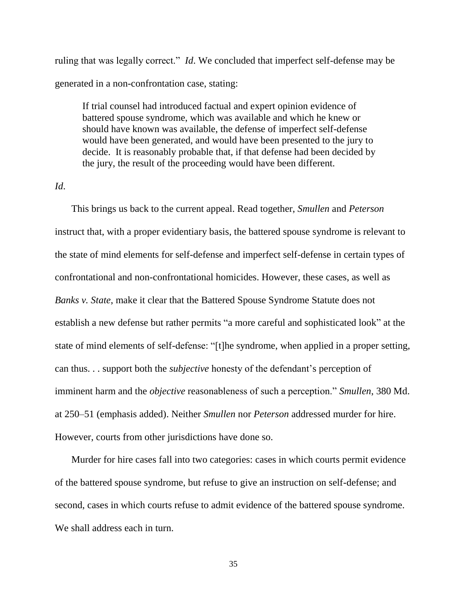ruling that was legally correct." *Id*. We concluded that imperfect self-defense may be generated in a non-confrontation case, stating:

If trial counsel had introduced factual and expert opinion evidence of battered spouse syndrome, which was available and which he knew or should have known was available, the defense of imperfect self-defense would have been generated, and would have been presented to the jury to decide. It is reasonably probable that, if that defense had been decided by the jury, the result of the proceeding would have been different.

#### *Id*.

This brings us back to the current appeal. Read together, *Smullen* and *Peterson* instruct that, with a proper evidentiary basis, the battered spouse syndrome is relevant to the state of mind elements for self-defense and imperfect self-defense in certain types of confrontational and non-confrontational homicides. However, these cases, as well as *Banks v. State*, make it clear that the Battered Spouse Syndrome Statute does not establish a new defense but rather permits "a more careful and sophisticated look" at the state of mind elements of self-defense: "[t]he syndrome, when applied in a proper setting, can thus. . . support both the *subjective* honesty of the defendant's perception of imminent harm and the *objective* reasonableness of such a perception." *Smullen*, 380 Md. at 250–51 (emphasis added). Neither *Smullen* nor *Peterson* addressed murder for hire. However, courts from other jurisdictions have done so.

Murder for hire cases fall into two categories: cases in which courts permit evidence of the battered spouse syndrome, but refuse to give an instruction on self-defense; and second, cases in which courts refuse to admit evidence of the battered spouse syndrome. We shall address each in turn.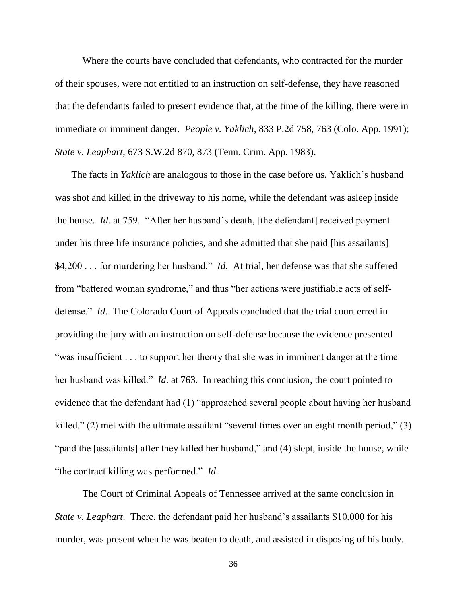Where the courts have concluded that defendants, who contracted for the murder of their spouses, were not entitled to an instruction on self-defense, they have reasoned that the defendants failed to present evidence that, at the time of the killing, there were in immediate or imminent danger. *People v. Yaklich*, 833 P.2d 758, 763 (Colo. App. 1991); *State v. Leaphart*, 673 S.W.2d 870, 873 (Tenn. Crim. App. 1983).

The facts in *Yaklich* are analogous to those in the case before us. Yaklich's husband was shot and killed in the driveway to his home, while the defendant was asleep inside the house. *Id*. at 759. "After her husband's death, [the defendant] received payment under his three life insurance policies, and she admitted that she paid [his assailants] \$4,200 . . . for murdering her husband." *Id*. At trial, her defense was that she suffered from "battered woman syndrome," and thus "her actions were justifiable acts of selfdefense." *Id*. The Colorado Court of Appeals concluded that the trial court erred in providing the jury with an instruction on self-defense because the evidence presented "was insufficient . . . to support her theory that she was in imminent danger at the time her husband was killed." *Id*. at 763. In reaching this conclusion, the court pointed to evidence that the defendant had (1) "approached several people about having her husband killed," (2) met with the ultimate assailant "several times over an eight month period," (3) "paid the [assailants] after they killed her husband," and (4) slept, inside the house, while "the contract killing was performed." *Id*.

The Court of Criminal Appeals of Tennessee arrived at the same conclusion in *State v. Leaphart*. There, the defendant paid her husband's assailants \$10,000 for his murder, was present when he was beaten to death, and assisted in disposing of his body.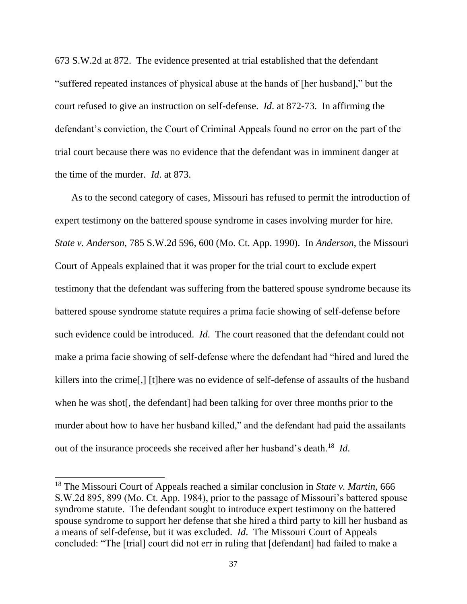673 S.W.2d at 872. The evidence presented at trial established that the defendant "suffered repeated instances of physical abuse at the hands of [her husband]," but the court refused to give an instruction on self-defense. *Id*. at 872-73. In affirming the defendant's conviction, the Court of Criminal Appeals found no error on the part of the trial court because there was no evidence that the defendant was in imminent danger at the time of the murder. *Id*. at 873.

As to the second category of cases, Missouri has refused to permit the introduction of expert testimony on the battered spouse syndrome in cases involving murder for hire. *State v. Anderson*, 785 S.W.2d 596, 600 (Mo. Ct. App. 1990). In *Anderson*, the Missouri Court of Appeals explained that it was proper for the trial court to exclude expert testimony that the defendant was suffering from the battered spouse syndrome because its battered spouse syndrome statute requires a prima facie showing of self-defense before such evidence could be introduced. *Id*. The court reasoned that the defendant could not make a prima facie showing of self-defense where the defendant had "hired and lured the killers into the crime[,] [t]here was no evidence of self-defense of assaults of the husband when he was shot[, the defendant] had been talking for over three months prior to the murder about how to have her husband killed," and the defendant had paid the assailants out of the insurance proceeds she received after her husband's death.<sup>18</sup> *Id*.

l

<sup>18</sup> The Missouri Court of Appeals reached a similar conclusion in *State v. Martin*, 666 S.W.2d 895, 899 (Mo. Ct. App. 1984), prior to the passage of Missouri's battered spouse syndrome statute. The defendant sought to introduce expert testimony on the battered spouse syndrome to support her defense that she hired a third party to kill her husband as a means of self-defense, but it was excluded. *Id*. The Missouri Court of Appeals concluded: "The [trial] court did not err in ruling that [defendant] had failed to make a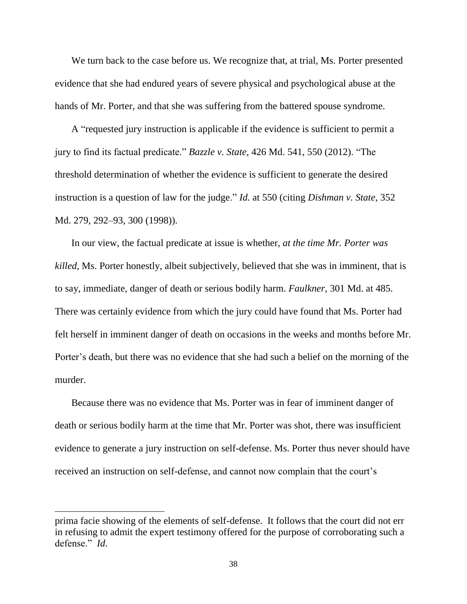We turn back to the case before us. We recognize that, at trial, Ms. Porter presented evidence that she had endured years of severe physical and psychological abuse at the hands of Mr. Porter, and that she was suffering from the battered spouse syndrome.

A "requested jury instruction is applicable if the evidence is sufficient to permit a jury to find its factual predicate." *Bazzle v. State*, 426 Md. 541, 550 (2012). "The threshold determination of whether the evidence is sufficient to generate the desired instruction is a question of law for the judge." *Id.* at 550 (citing *Dishman v. State,* 352 Md. 279, 292–93, 300 (1998)).

In our view, the factual predicate at issue is whether, *at the time Mr. Porter was killed*, Ms. Porter honestly, albeit subjectively, believed that she was in imminent, that is to say, immediate, danger of death or serious bodily harm. *Faulkner*, 301 Md. at 485. There was certainly evidence from which the jury could have found that Ms. Porter had felt herself in imminent danger of death on occasions in the weeks and months before Mr. Porter's death, but there was no evidence that she had such a belief on the morning of the murder.

Because there was no evidence that Ms. Porter was in fear of imminent danger of death or serious bodily harm at the time that Mr. Porter was shot, there was insufficient evidence to generate a jury instruction on self-defense. Ms. Porter thus never should have received an instruction on self-defense, and cannot now complain that the court's

prima facie showing of the elements of self-defense. It follows that the court did not err in refusing to admit the expert testimony offered for the purpose of corroborating such a defense." *Id*.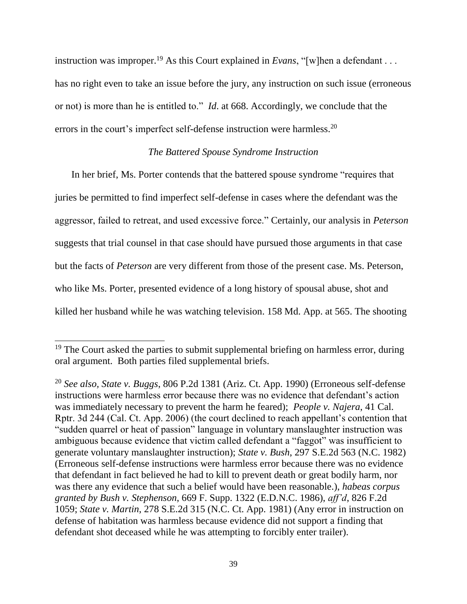instruction was improper.<sup>19</sup> As this Court explained in *Evans*, "[w]hen a defendant . . . has no right even to take an issue before the jury, any instruction on such issue (erroneous or not) is more than he is entitled to." *Id*. at 668. Accordingly, we conclude that the errors in the court's imperfect self-defense instruction were harmless.<sup>20</sup>

### *The Battered Spouse Syndrome Instruction*

In her brief, Ms. Porter contends that the battered spouse syndrome "requires that juries be permitted to find imperfect self-defense in cases where the defendant was the aggressor, failed to retreat, and used excessive force." Certainly, our analysis in *Peterson* suggests that trial counsel in that case should have pursued those arguments in that case but the facts of *Peterson* are very different from those of the present case. Ms. Peterson, who like Ms. Porter, presented evidence of a long history of spousal abuse, shot and killed her husband while he was watching television. 158 Md. App. at 565. The shooting

<sup>&</sup>lt;sup>19</sup> The Court asked the parties to submit supplemental briefing on harmless error, during oral argument. Both parties filed supplemental briefs.

<sup>20</sup> *See also, State v. Buggs*, 806 P.2d 1381 (Ariz. Ct. App. 1990) (Erroneous self-defense instructions were harmless error because there was no evidence that defendant's action was immediately necessary to prevent the harm he feared); *People v. Najera*, 41 Cal. Rptr. 3d 244 (Cal. Ct. App. 2006) (the court declined to reach appellant's contention that "sudden quarrel or heat of passion" language in voluntary manslaughter instruction was ambiguous because evidence that victim called defendant a "faggot" was insufficient to generate voluntary manslaughter instruction); *State v. Bush*, 297 S.E.2d 563 (N.C. 1982) (Erroneous self-defense instructions were harmless error because there was no evidence that defendant in fact believed he had to kill to prevent death or great bodily harm, nor was there any evidence that such a belief would have been reasonable.), *habeas corpus granted by Bush v. Stephenson*, 669 F. Supp. 1322 (E.D.N.C. 1986), *aff'd*, 826 F.2d 1059; *State v. Martin*, 278 S.E.2d 315 (N.C. Ct. App. 1981) (Any error in instruction on defense of habitation was harmless because evidence did not support a finding that defendant shot deceased while he was attempting to forcibly enter trailer).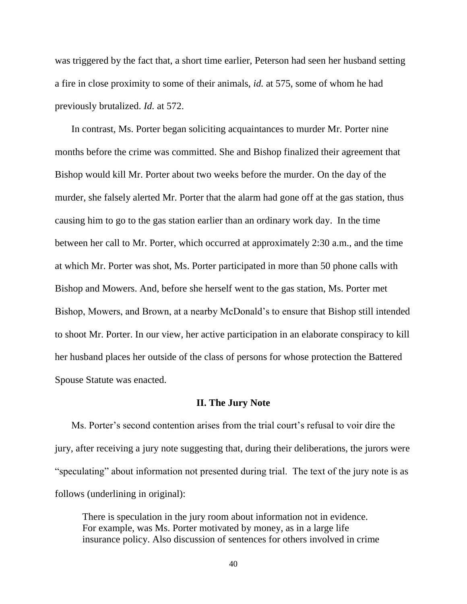was triggered by the fact that, a short time earlier, Peterson had seen her husband setting a fire in close proximity to some of their animals, *id.* at 575, some of whom he had previously brutalized. *Id.* at 572.

In contrast, Ms. Porter began soliciting acquaintances to murder Mr. Porter nine months before the crime was committed. She and Bishop finalized their agreement that Bishop would kill Mr. Porter about two weeks before the murder. On the day of the murder, she falsely alerted Mr. Porter that the alarm had gone off at the gas station, thus causing him to go to the gas station earlier than an ordinary work day. In the time between her call to Mr. Porter, which occurred at approximately 2:30 a.m., and the time at which Mr. Porter was shot, Ms. Porter participated in more than 50 phone calls with Bishop and Mowers. And, before she herself went to the gas station, Ms. Porter met Bishop, Mowers, and Brown, at a nearby McDonald's to ensure that Bishop still intended to shoot Mr. Porter. In our view, her active participation in an elaborate conspiracy to kill her husband places her outside of the class of persons for whose protection the Battered Spouse Statute was enacted.

#### **II. The Jury Note**

Ms. Porter's second contention arises from the trial court's refusal to voir dire the jury, after receiving a jury note suggesting that, during their deliberations, the jurors were "speculating" about information not presented during trial. The text of the jury note is as follows (underlining in original):

There is speculation in the jury room about information not in evidence. For example, was Ms. Porter motivated by money, as in a large life insurance policy. Also discussion of sentences for others involved in crime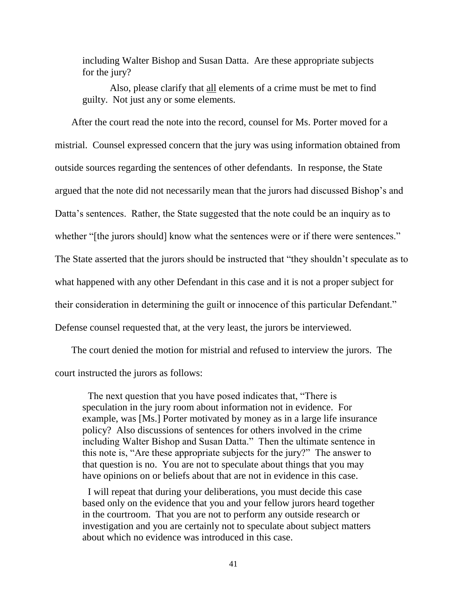including Walter Bishop and Susan Datta. Are these appropriate subjects for the jury?

Also, please clarify that all elements of a crime must be met to find guilty. Not just any or some elements.

After the court read the note into the record, counsel for Ms. Porter moved for a mistrial. Counsel expressed concern that the jury was using information obtained from outside sources regarding the sentences of other defendants. In response, the State argued that the note did not necessarily mean that the jurors had discussed Bishop's and Datta's sentences. Rather, the State suggested that the note could be an inquiry as to whether "[the jurors should] know what the sentences were or if there were sentences." The State asserted that the jurors should be instructed that "they shouldn't speculate as to what happened with any other Defendant in this case and it is not a proper subject for their consideration in determining the guilt or innocence of this particular Defendant." Defense counsel requested that, at the very least, the jurors be interviewed.

The court denied the motion for mistrial and refused to interview the jurors. The court instructed the jurors as follows:

The next question that you have posed indicates that, "There is speculation in the jury room about information not in evidence. For example, was [Ms.] Porter motivated by money as in a large life insurance policy? Also discussions of sentences for others involved in the crime including Walter Bishop and Susan Datta." Then the ultimate sentence in this note is, "Are these appropriate subjects for the jury?" The answer to that question is no. You are not to speculate about things that you may have opinions on or beliefs about that are not in evidence in this case.

I will repeat that during your deliberations, you must decide this case based only on the evidence that you and your fellow jurors heard together in the courtroom. That you are not to perform any outside research or investigation and you are certainly not to speculate about subject matters about which no evidence was introduced in this case.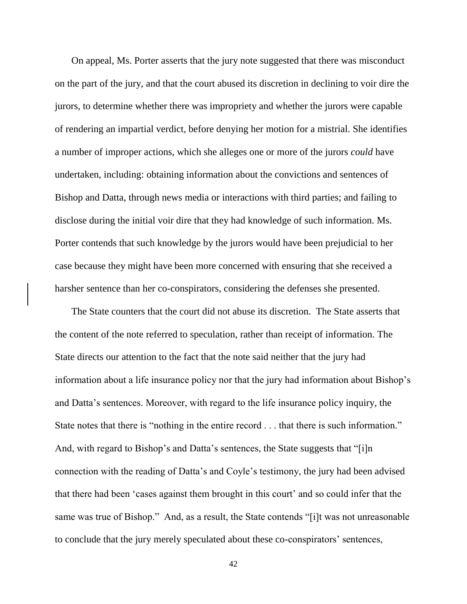On appeal, Ms. Porter asserts that the jury note suggested that there was misconduct on the part of the jury, and that the court abused its discretion in declining to voir dire the jurors, to determine whether there was impropriety and whether the jurors were capable of rendering an impartial verdict, before denying her motion for a mistrial. She identifies a number of improper actions, which she alleges one or more of the jurors *could* have undertaken, including: obtaining information about the convictions and sentences of Bishop and Datta, through news media or interactions with third parties; and failing to disclose during the initial voir dire that they had knowledge of such information. Ms. Porter contends that such knowledge by the jurors would have been prejudicial to her case because they might have been more concerned with ensuring that she received a harsher sentence than her co-conspirators, considering the defenses she presented.

The State counters that the court did not abuse its discretion. The State asserts that the content of the note referred to speculation, rather than receipt of information. The State directs our attention to the fact that the note said neither that the jury had information about a life insurance policy nor that the jury had information about Bishop's and Datta's sentences. Moreover, with regard to the life insurance policy inquiry, the State notes that there is "nothing in the entire record . . . that there is such information." And, with regard to Bishop's and Datta's sentences, the State suggests that "[i]n connection with the reading of Datta's and Coyle's testimony, the jury had been advised that there had been 'cases against them brought in this court' and so could infer that the same was true of Bishop." And, as a result, the State contends "[i]t was not unreasonable to conclude that the jury merely speculated about these co-conspirators' sentences,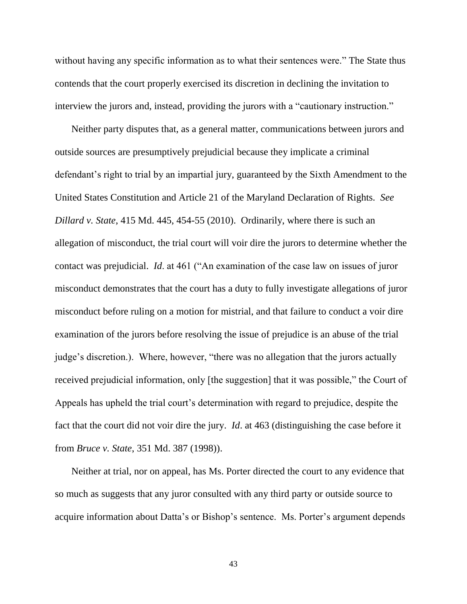without having any specific information as to what their sentences were." The State thus contends that the court properly exercised its discretion in declining the invitation to interview the jurors and, instead, providing the jurors with a "cautionary instruction."

Neither party disputes that, as a general matter, communications between jurors and outside sources are presumptively prejudicial because they implicate a criminal defendant's right to trial by an impartial jury, guaranteed by the Sixth Amendment to the United States Constitution and Article 21 of the Maryland Declaration of Rights. *See Dillard v. State*, 415 Md. 445, 454-55 (2010). Ordinarily, where there is such an allegation of misconduct, the trial court will voir dire the jurors to determine whether the contact was prejudicial. *Id*. at 461 ("An examination of the case law on issues of juror misconduct demonstrates that the court has a duty to fully investigate allegations of juror misconduct before ruling on a motion for mistrial, and that failure to conduct a voir dire examination of the jurors before resolving the issue of prejudice is an abuse of the trial judge's discretion.). Where, however, "there was no allegation that the jurors actually received prejudicial information, only [the suggestion] that it was possible," the Court of Appeals has upheld the trial court's determination with regard to prejudice, despite the fact that the court did not voir dire the jury. *Id*. at 463 (distinguishing the case before it from *Bruce v. State*, 351 Md. 387 (1998)).

Neither at trial, nor on appeal, has Ms. Porter directed the court to any evidence that so much as suggests that any juror consulted with any third party or outside source to acquire information about Datta's or Bishop's sentence. Ms. Porter's argument depends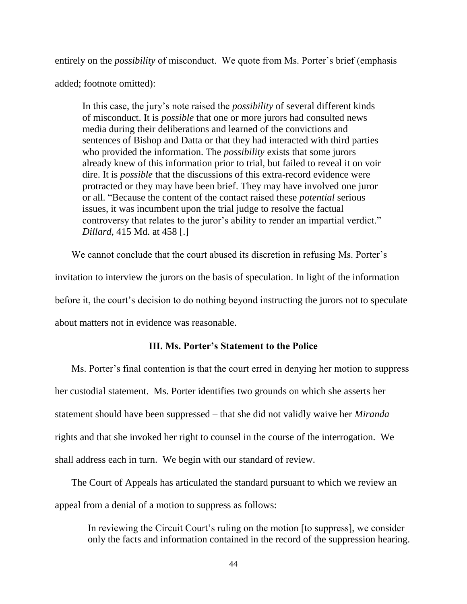entirely on the *possibility* of misconduct. We quote from Ms. Porter's brief (emphasis added; footnote omitted):

In this case, the jury's note raised the *possibility* of several different kinds of misconduct. It is *possible* that one or more jurors had consulted news media during their deliberations and learned of the convictions and sentences of Bishop and Datta or that they had interacted with third parties who provided the information. The *possibility* exists that some jurors already knew of this information prior to trial, but failed to reveal it on voir dire. It is *possible* that the discussions of this extra-record evidence were protracted or they may have been brief. They may have involved one juror or all. "Because the content of the contact raised these *potential* serious issues, it was incumbent upon the trial judge to resolve the factual controversy that relates to the juror's ability to render an impartial verdict." *Dillard*, 415 Md. at 458 [.]

We cannot conclude that the court abused its discretion in refusing Ms. Porter's invitation to interview the jurors on the basis of speculation. In light of the information before it, the court's decision to do nothing beyond instructing the jurors not to speculate about matters not in evidence was reasonable.

## **III. Ms. Porter's Statement to the Police**

Ms. Porter's final contention is that the court erred in denying her motion to suppress her custodial statement. Ms. Porter identifies two grounds on which she asserts her statement should have been suppressed – that she did not validly waive her *Miranda* rights and that she invoked her right to counsel in the course of the interrogation. We shall address each in turn. We begin with our standard of review.

The Court of Appeals has articulated the standard pursuant to which we review an appeal from a denial of a motion to suppress as follows:

In reviewing the Circuit Court's ruling on the motion [to suppress], we consider only the facts and information contained in the record of the suppression hearing.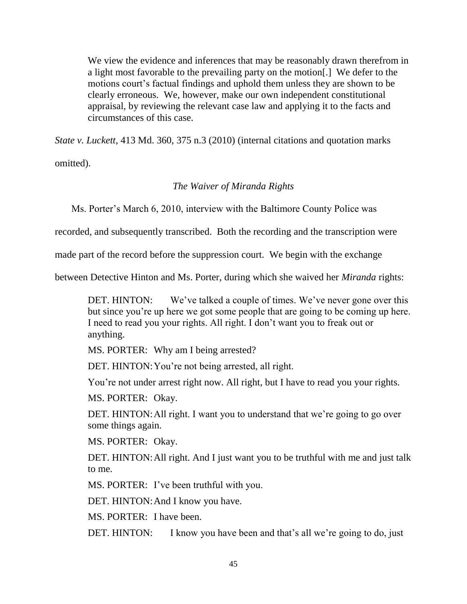We view the evidence and inferences that may be reasonably drawn therefrom in a light most favorable to the prevailing party on the motion[.] We defer to the motions court's factual findings and uphold them unless they are shown to be clearly erroneous. We, however, make our own independent constitutional appraisal, by reviewing the relevant case law and applying it to the facts and circumstances of this case.

*State v. Luckett*, 413 Md. 360, 375 n.3 (2010) (internal citations and quotation marks

omitted).

## *The Waiver of Miranda Rights*

Ms. Porter's March 6, 2010, interview with the Baltimore County Police was

recorded, and subsequently transcribed. Both the recording and the transcription were

made part of the record before the suppression court. We begin with the exchange

between Detective Hinton and Ms. Porter, during which she waived her *Miranda* rights:

DET. HINTON: We've talked a couple of times. We've never gone over this but since you're up here we got some people that are going to be coming up here. I need to read you your rights. All right. I don't want you to freak out or anything.

MS. PORTER: Why am I being arrested?

DET. HINTON: You're not being arrested, all right.

You're not under arrest right now. All right, but I have to read you your rights.

MS. PORTER: Okay.

DET. HINTON: All right. I want you to understand that we're going to go over some things again.

MS. PORTER: Okay.

DET. HINTON: All right. And I just want you to be truthful with me and just talk to me.

MS. PORTER: I've been truthful with you.

DET. HINTON: And I know you have.

MS. PORTER: I have been.

DET. HINTON: I know you have been and that's all we're going to do, just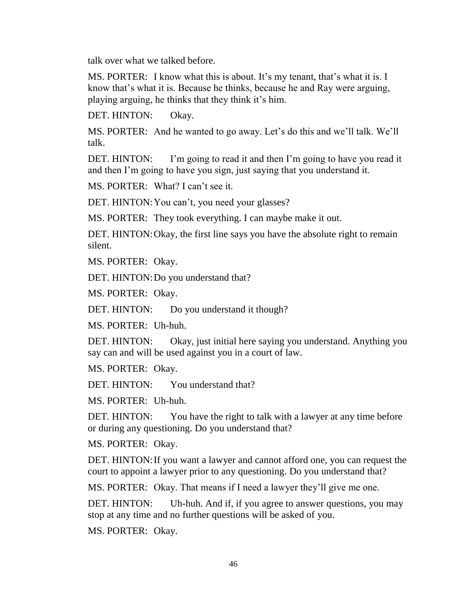talk over what we talked before.

MS. PORTER: I know what this is about. It's my tenant, that's what it is. I know that's what it is. Because he thinks, because he and Ray were arguing, playing arguing, he thinks that they think it's him.

DET. HINTON: Okay.

MS. PORTER: And he wanted to go away. Let's do this and we'll talk. We'll talk.

DET. HINTON: I'm going to read it and then I'm going to have you read it and then I'm going to have you sign, just saying that you understand it.

MS. PORTER: What? I can't see it.

DET. HINTON: You can't, you need your glasses?

MS. PORTER: They took everything. I can maybe make it out.

DET. HINTON: Okay, the first line says you have the absolute right to remain silent.

MS. PORTER: Okay.

DET. HINTON: Do you understand that?

MS. PORTER: Okay.

DET. HINTON: Do you understand it though?

MS. PORTER: Uh-huh.

DET. HINTON: Okay, just initial here saying you understand. Anything you say can and will be used against you in a court of law.

MS. PORTER: Okay.

DET. HINTON: You understand that?

MS. PORTER: Uh-huh.

DET. HINTON: You have the right to talk with a lawyer at any time before or during any questioning. Do you understand that?

MS. PORTER: Okay.

DET. HINTON: If you want a lawyer and cannot afford one, you can request the court to appoint a lawyer prior to any questioning. Do you understand that?

MS. PORTER: Okay. That means if I need a lawyer they'll give me one.

DET. HINTON: Uh-huh. And if, if you agree to answer questions, you may stop at any time and no further questions will be asked of you.

MS. PORTER: Okay.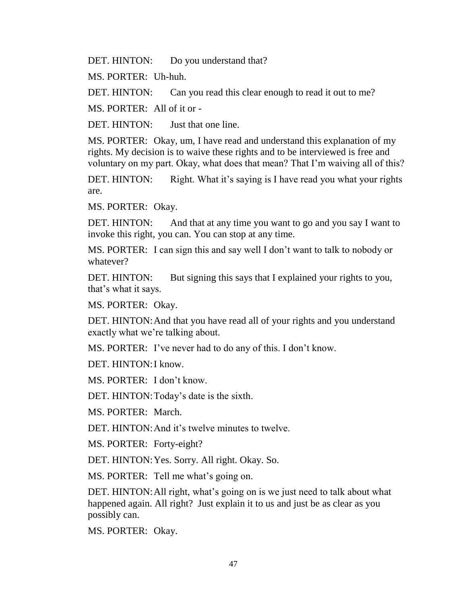DET. HINTON: Do you understand that?

MS. PORTER: Uh-huh.

DET. HINTON: Can you read this clear enough to read it out to me?

MS. PORTER: All of it or -

DET. HINTON: Just that one line.

MS. PORTER: Okay, um, I have read and understand this explanation of my rights. My decision is to waive these rights and to be interviewed is free and voluntary on my part. Okay, what does that mean? That I'm waiving all of this?

DET. HINTON: Right. What it's saying is I have read you what your rights are.

MS. PORTER: Okay.

DET. HINTON: And that at any time you want to go and you say I want to invoke this right, you can. You can stop at any time.

MS. PORTER: I can sign this and say well I don't want to talk to nobody or whatever?

DET. HINTON: But signing this says that I explained your rights to you, that's what it says.

MS. PORTER: Okay.

DET. HINTON: And that you have read all of your rights and you understand exactly what we're talking about.

MS. PORTER: I've never had to do any of this. I don't know.

DET. HINTON:I know.

MS. PORTER: I don't know.

DET. HINTON: Today's date is the sixth.

MS. PORTER: March.

DET. HINTON: And it's twelve minutes to twelve.

MS. PORTER: Forty-eight?

DET. HINTON:Yes. Sorry. All right. Okay. So.

MS. PORTER: Tell me what's going on.

DET. HINTON: All right, what's going on is we just need to talk about what happened again. All right? Just explain it to us and just be as clear as you possibly can.

MS. PORTER: Okay.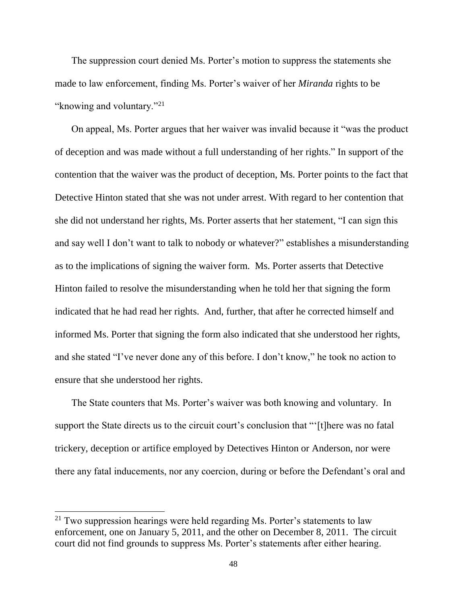The suppression court denied Ms. Porter's motion to suppress the statements she made to law enforcement, finding Ms. Porter's waiver of her *Miranda* rights to be "knowing and voluntary."<sup>21</sup>

On appeal, Ms. Porter argues that her waiver was invalid because it "was the product of deception and was made without a full understanding of her rights." In support of the contention that the waiver was the product of deception, Ms. Porter points to the fact that Detective Hinton stated that she was not under arrest. With regard to her contention that she did not understand her rights, Ms. Porter asserts that her statement, "I can sign this and say well I don't want to talk to nobody or whatever?" establishes a misunderstanding as to the implications of signing the waiver form. Ms. Porter asserts that Detective Hinton failed to resolve the misunderstanding when he told her that signing the form indicated that he had read her rights. And, further, that after he corrected himself and informed Ms. Porter that signing the form also indicated that she understood her rights, and she stated "I've never done any of this before. I don't know," he took no action to ensure that she understood her rights.

The State counters that Ms. Porter's waiver was both knowing and voluntary. In support the State directs us to the circuit court's conclusion that "'[t]here was no fatal trickery, deception or artifice employed by Detectives Hinton or Anderson, nor were there any fatal inducements, nor any coercion, during or before the Defendant's oral and

 $21$  Two suppression hearings were held regarding Ms. Porter's statements to law enforcement, one on January 5, 2011, and the other on December 8, 2011. The circuit court did not find grounds to suppress Ms. Porter's statements after either hearing.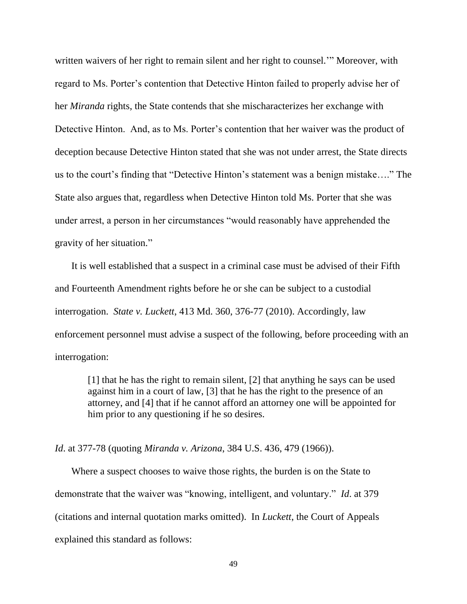written waivers of her right to remain silent and her right to counsel.'" Moreover, with regard to Ms. Porter's contention that Detective Hinton failed to properly advise her of her *Miranda* rights, the State contends that she mischaracterizes her exchange with Detective Hinton. And, as to Ms. Porter's contention that her waiver was the product of deception because Detective Hinton stated that she was not under arrest, the State directs us to the court's finding that "Detective Hinton's statement was a benign mistake…." The State also argues that, regardless when Detective Hinton told Ms. Porter that she was under arrest, a person in her circumstances "would reasonably have apprehended the gravity of her situation."

It is well established that a suspect in a criminal case must be advised of their Fifth and Fourteenth Amendment rights before he or she can be subject to a custodial interrogation. *State v. Luckett*, 413 Md. 360, 376-77 (2010). Accordingly, law enforcement personnel must advise a suspect of the following, before proceeding with an interrogation:

[1] that he has the right to remain silent, [2] that anything he says can be used against him in a court of law, [3] that he has the right to the presence of an attorney, and [4] that if he cannot afford an attorney one will be appointed for him prior to any questioning if he so desires.

*Id*. at 377-78 (quoting *Miranda v. Arizona*, 384 U.S. 436, 479 (1966)).

Where a suspect chooses to waive those rights, the burden is on the State to demonstrate that the waiver was "knowing, intelligent, and voluntary." *Id*. at 379 (citations and internal quotation marks omitted). In *Luckett*, the Court of Appeals explained this standard as follows: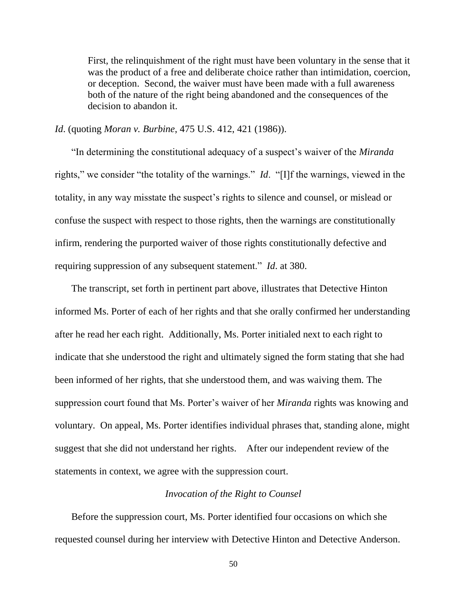First, the relinquishment of the right must have been voluntary in the sense that it was the product of a free and deliberate choice rather than intimidation, coercion, or deception. Second, the waiver must have been made with a full awareness both of the nature of the right being abandoned and the consequences of the decision to abandon it.

*Id*. (quoting *Moran v. Burbine*, 475 U.S. 412, 421 (1986)).

"In determining the constitutional adequacy of a suspect's waiver of the *Miranda* rights," we consider "the totality of the warnings." *Id*. "[I]f the warnings, viewed in the totality, in any way misstate the suspect's rights to silence and counsel, or mislead or confuse the suspect with respect to those rights, then the warnings are constitutionally infirm, rendering the purported waiver of those rights constitutionally defective and requiring suppression of any subsequent statement." *Id*. at 380.

The transcript, set forth in pertinent part above, illustrates that Detective Hinton informed Ms. Porter of each of her rights and that she orally confirmed her understanding after he read her each right. Additionally, Ms. Porter initialed next to each right to indicate that she understood the right and ultimately signed the form stating that she had been informed of her rights, that she understood them, and was waiving them. The suppression court found that Ms. Porter's waiver of her *Miranda* rights was knowing and voluntary. On appeal, Ms. Porter identifies individual phrases that, standing alone, might suggest that she did not understand her rights. After our independent review of the statements in context, we agree with the suppression court.

### *Invocation of the Right to Counsel*

Before the suppression court, Ms. Porter identified four occasions on which she requested counsel during her interview with Detective Hinton and Detective Anderson.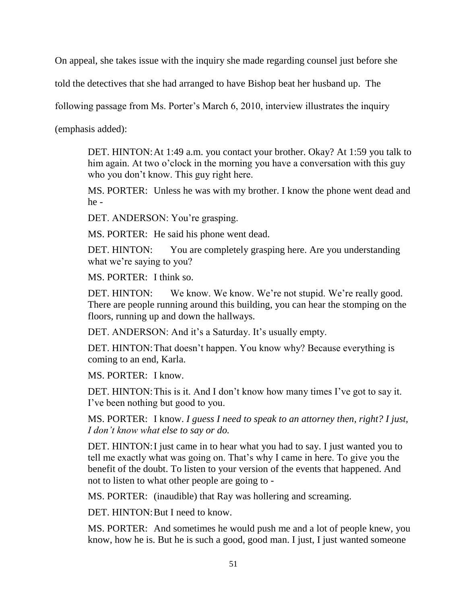On appeal, she takes issue with the inquiry she made regarding counsel just before she

told the detectives that she had arranged to have Bishop beat her husband up. The

following passage from Ms. Porter's March 6, 2010, interview illustrates the inquiry

(emphasis added):

DET. HINTON:At 1:49 a.m. you contact your brother. Okay? At 1:59 you talk to him again. At two o'clock in the morning you have a conversation with this guy who you don't know. This guy right here.

MS. PORTER: Unless he was with my brother. I know the phone went dead and he -

DET. ANDERSON: You're grasping.

MS. PORTER: He said his phone went dead.

DET. HINTON: You are completely grasping here. Are you understanding what we're saying to you?

MS. PORTER: I think so.

DET. HINTON: We know. We know. We're not stupid. We're really good. There are people running around this building, you can hear the stomping on the floors, running up and down the hallways.

DET. ANDERSON: And it's a Saturday. It's usually empty.

DET. HINTON: That doesn't happen. You know why? Because everything is coming to an end, Karla.

MS. PORTER: I know.

DET. HINTON: This is it. And I don't know how many times I've got to say it. I've been nothing but good to you.

MS. PORTER: I know. *I guess I need to speak to an attorney then, right? I just, I don't know what else to say or do.*

DET. HINTON: I just came in to hear what you had to say. I just wanted you to tell me exactly what was going on. That's why I came in here. To give you the benefit of the doubt. To listen to your version of the events that happened. And not to listen to what other people are going to -

MS. PORTER: (inaudible) that Ray was hollering and screaming.

DET. HINTON: But I need to know.

MS. PORTER: And sometimes he would push me and a lot of people knew, you know, how he is. But he is such a good, good man. I just, I just wanted someone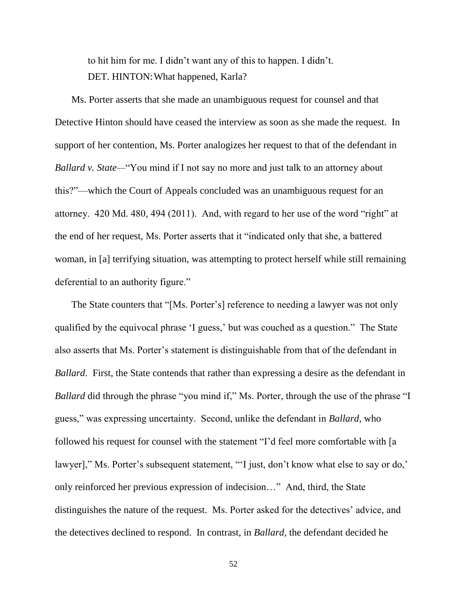to hit him for me. I didn't want any of this to happen. I didn't. DET. HINTON: What happened, Karla?

Ms. Porter asserts that she made an unambiguous request for counsel and that Detective Hinton should have ceased the interview as soon as she made the request. In support of her contention, Ms. Porter analogizes her request to that of the defendant in *Ballard v. State—*"You mind if I not say no more and just talk to an attorney about this?"—which the Court of Appeals concluded was an unambiguous request for an attorney. 420 Md. 480, 494 (2011). And, with regard to her use of the word "right" at the end of her request, Ms. Porter asserts that it "indicated only that she, a battered woman, in [a] terrifying situation, was attempting to protect herself while still remaining deferential to an authority figure."

The State counters that "[Ms. Porter's] reference to needing a lawyer was not only qualified by the equivocal phrase 'I guess,' but was couched as a question." The State also asserts that Ms. Porter's statement is distinguishable from that of the defendant in *Ballard*. First, the State contends that rather than expressing a desire as the defendant in *Ballard* did through the phrase "you mind if," Ms. Porter, through the use of the phrase "I guess," was expressing uncertainty. Second, unlike the defendant in *Ballard*, who followed his request for counsel with the statement "I'd feel more comfortable with [a lawyer]," Ms. Porter's subsequent statement, "'I just, don't know what else to say or do,' only reinforced her previous expression of indecision…" And, third, the State distinguishes the nature of the request. Ms. Porter asked for the detectives' advice, and the detectives declined to respond. In contrast, in *Ballard*, the defendant decided he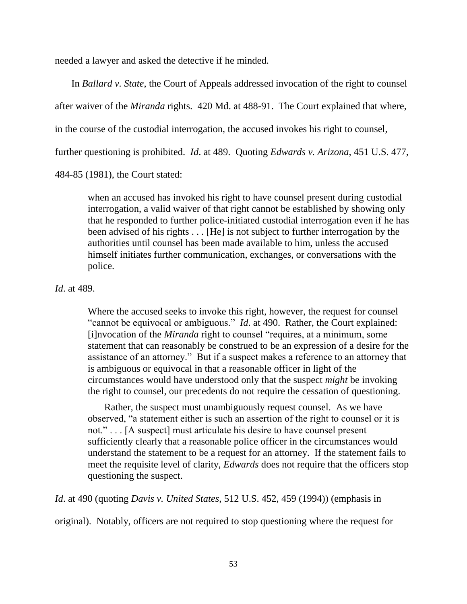needed a lawyer and asked the detective if he minded.

In *Ballard v. State*, the Court of Appeals addressed invocation of the right to counsel after waiver of the *Miranda* rights. 420 Md. at 488-91. The Court explained that where, in the course of the custodial interrogation, the accused invokes his right to counsel, further questioning is prohibited. *Id*. at 489. Quoting *Edwards v. Arizona*, 451 U.S. 477, 484-85 (1981), the Court stated:

when an accused has invoked his right to have counsel present during custodial interrogation, a valid waiver of that right cannot be established by showing only that he responded to further police-initiated custodial interrogation even if he has been advised of his rights . . . [He] is not subject to further interrogation by the authorities until counsel has been made available to him, unless the accused himself initiates further communication, exchanges, or conversations with the police.

*Id*. at 489.

Where the accused seeks to invoke this right, however, the request for counsel "cannot be equivocal or ambiguous." *Id*. at 490. Rather, the Court explained: [i]nvocation of the *Miranda* right to counsel "requires, at a minimum, some statement that can reasonably be construed to be an expression of a desire for the assistance of an attorney." But if a suspect makes a reference to an attorney that is ambiguous or equivocal in that a reasonable officer in light of the circumstances would have understood only that the suspect *might* be invoking the right to counsel, our precedents do not require the cessation of questioning.

Rather, the suspect must unambiguously request counsel. As we have observed, "a statement either is such an assertion of the right to counsel or it is not." . . . [A suspect] must articulate his desire to have counsel present sufficiently clearly that a reasonable police officer in the circumstances would understand the statement to be a request for an attorney. If the statement fails to meet the requisite level of clarity, *Edwards* does not require that the officers stop questioning the suspect.

*Id*. at 490 (quoting *Davis v. United States*, 512 U.S. 452, 459 (1994)) (emphasis in

original). Notably, officers are not required to stop questioning where the request for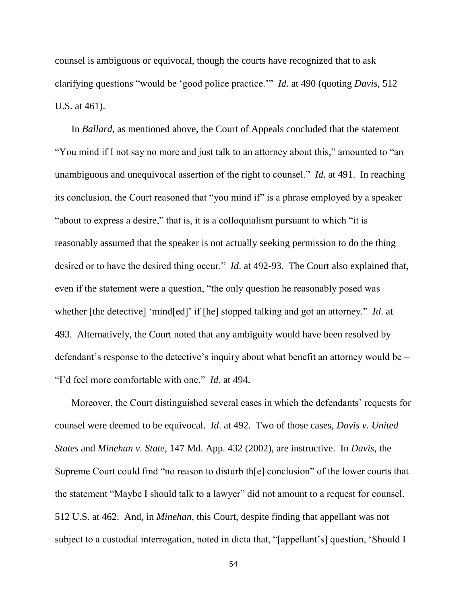counsel is ambiguous or equivocal, though the courts have recognized that to ask clarifying questions "would be 'good police practice.'" *Id*. at 490 (quoting *Davis*, 512 U.S. at 461).

In *Ballard*, as mentioned above, the Court of Appeals concluded that the statement "You mind if I not say no more and just talk to an attorney about this," amounted to "an unambiguous and unequivocal assertion of the right to counsel." *Id*. at 491. In reaching its conclusion, the Court reasoned that "you mind if" is a phrase employed by a speaker "about to express a desire," that is, it is a colloquialism pursuant to which "it is reasonably assumed that the speaker is not actually seeking permission to do the thing desired or to have the desired thing occur." *Id.* at 492-93. The Court also explained that, even if the statement were a question, "the only question he reasonably posed was whether [the detective] 'mind[ed]' if [he] stopped talking and got an attorney." *Id*. at 493. Alternatively, the Court noted that any ambiguity would have been resolved by defendant's response to the detective's inquiry about what benefit an attorney would be – "I'd feel more comfortable with one." *Id*. at 494.

Moreover, the Court distinguished several cases in which the defendants' requests for counsel were deemed to be equivocal. *Id*. at 492. Two of those cases, *Davis v. United States* and *Minehan v. State*, 147 Md. App. 432 (2002), are instructive. In *Davis*, the Supreme Court could find "no reason to disturb th[e] conclusion" of the lower courts that the statement "Maybe I should talk to a lawyer" did not amount to a request for counsel. 512 U.S. at 462. And, in *Minehan*, this Court, despite finding that appellant was not subject to a custodial interrogation, noted in dicta that, "[appellant's] question, 'Should I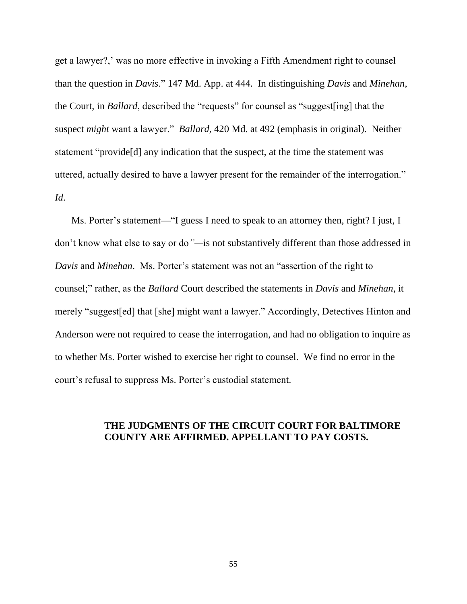get a lawyer?,' was no more effective in invoking a Fifth Amendment right to counsel than the question in *Davis*." 147 Md. App. at 444. In distinguishing *Davis* and *Minehan*, the Court, in *Ballard*, described the "requests" for counsel as "suggest[ing] that the suspect *might* want a lawyer." *Ballard*, 420 Md. at 492 (emphasis in original). Neither statement "provide[d] any indication that the suspect, at the time the statement was uttered, actually desired to have a lawyer present for the remainder of the interrogation." *Id*.

Ms. Porter's statement—"I guess I need to speak to an attorney then, right? I just, I don't know what else to say or do*"—*is not substantively different than those addressed in *Davis* and *Minehan*. Ms. Porter's statement was not an "assertion of the right to counsel;" rather, as the *Ballard* Court described the statements in *Davis* and *Minehan*, it merely "suggest[ed] that [she] might want a lawyer." Accordingly, Detectives Hinton and Anderson were not required to cease the interrogation, and had no obligation to inquire as to whether Ms. Porter wished to exercise her right to counsel. We find no error in the court's refusal to suppress Ms. Porter's custodial statement.

## **THE JUDGMENTS OF THE CIRCUIT COURT FOR BALTIMORE COUNTY ARE AFFIRMED. APPELLANT TO PAY COSTS.**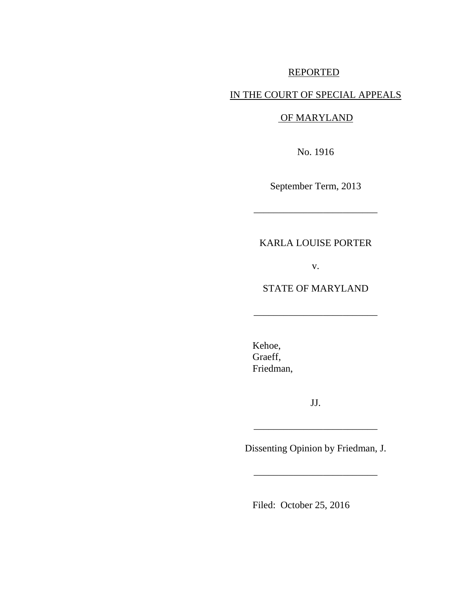# REPORTED

# IN THE COURT OF SPECIAL APPEALS

### OF MARYLAND

No. 1916

September Term, 2013

\_\_\_\_\_\_\_\_\_\_\_\_\_\_\_\_\_\_\_\_\_\_\_\_\_

# KARLA LOUISE PORTER

v.

## STATE OF MARYLAND

\_\_\_\_\_\_\_\_\_\_\_\_\_\_\_\_\_\_\_\_\_\_\_\_\_

Kehoe, Graeff, Friedman,

JJ.

\_\_\_\_\_\_\_\_\_\_\_\_\_\_\_\_\_\_\_\_\_\_\_\_\_

Dissenting Opinion by Friedman, J.

\_\_\_\_\_\_\_\_\_\_\_\_\_\_\_\_\_\_\_\_\_\_\_\_\_

Filed: October 25, 2016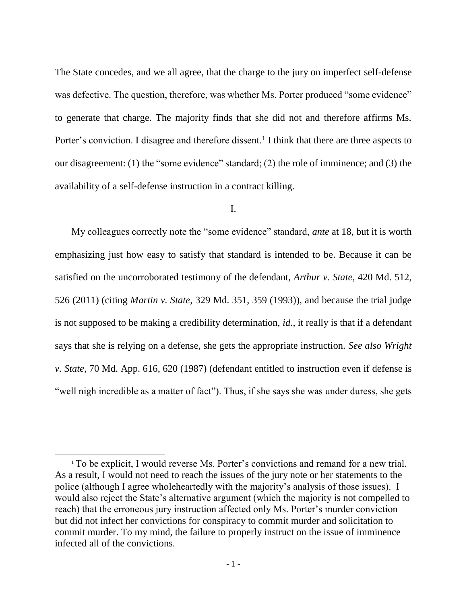The State concedes, and we all agree, that the charge to the jury on imperfect self-defense was defective. The question, therefore, was whether Ms. Porter produced "some evidence" to generate that charge. The majority finds that she did not and therefore affirms Ms. Porter's conviction. I disagree and therefore dissent.<sup>1</sup> I think that there are three aspects to our disagreement: (1) the "some evidence" standard; (2) the role of imminence; and (3) the availability of a self-defense instruction in a contract killing.

#### I.

My colleagues correctly note the "some evidence" standard, *ante* at 18, but it is worth emphasizing just how easy to satisfy that standard is intended to be. Because it can be satisfied on the uncorroborated testimony of the defendant, *Arthur v. State*, 420 Md. 512, 526 (2011) (citing *Martin v. State*, 329 Md. 351, 359 (1993)), and because the trial judge is not supposed to be making a credibility determination, *id.*, it really is that if a defendant says that she is relying on a defense, she gets the appropriate instruction. *See also Wright v. State,* 70 Md. App. 616, 620 (1987) (defendant entitled to instruction even if defense is "well nigh incredible as a matter of fact"). Thus, if she says she was under duress, she gets

<sup>&</sup>lt;sup>1</sup> To be explicit, I would reverse Ms. Porter's convictions and remand for a new trial. As a result, I would not need to reach the issues of the jury note or her statements to the police (although I agree wholeheartedly with the majority's analysis of those issues). I would also reject the State's alternative argument (which the majority is not compelled to reach) that the erroneous jury instruction affected only Ms. Porter's murder conviction but did not infect her convictions for conspiracy to commit murder and solicitation to commit murder. To my mind, the failure to properly instruct on the issue of imminence infected all of the convictions.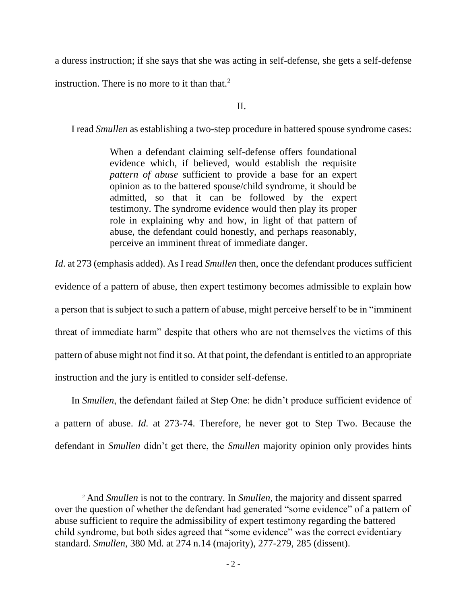a duress instruction; if she says that she was acting in self-defense, she gets a self-defense

instruction. There is no more to it than that.<sup>2</sup>

l

II.

I read *Smullen* as establishing a two-step procedure in battered spouse syndrome cases:

[When a defendant claiming self-defense offers foundational](https://casetext.com/case/state-v-smullen-3?passage=mdIAY5r11Idl6fZ3k_ONhw)  [evidence which, if believed, would establish the requisite](https://casetext.com/case/state-v-smullen-3?passage=mdIAY5r11Idl6fZ3k_ONhw)  *pattern of abuse* [sufficient to provide a base for an expert](https://casetext.com/case/state-v-smullen-3?passage=mdIAY5r11Idl6fZ3k_ONhw)  [opinion as to the battered spouse/child syndrome, it should be](https://casetext.com/case/state-v-smullen-3?passage=mdIAY5r11Idl6fZ3k_ONhw)  [admitted, so that it can be followed by the expert](https://casetext.com/case/state-v-smullen-3?passage=mdIAY5r11Idl6fZ3k_ONhw)  [testimony.](https://casetext.com/case/state-v-smullen-3?passage=mdIAY5r11Idl6fZ3k_ONhw) [The syndrome evidence would then play its proper](https://casetext.com/case/state-v-smullen-3?passage=f8zo_kf5kSBlAuNYskfmcA)  [role in explaining why and how, in light of that pattern of](https://casetext.com/case/state-v-smullen-3?passage=f8zo_kf5kSBlAuNYskfmcA)  [abuse, the defendant could honestly, and perhaps reasonably,](https://casetext.com/case/state-v-smullen-3?passage=f8zo_kf5kSBlAuNYskfmcA)  [perceive an imminent threat of immediate danger.](https://casetext.com/case/state-v-smullen-3?passage=f8zo_kf5kSBlAuNYskfmcA)

*Id*. at 273 (emphasis added). As I read *Smullen* then, once the defendant produces sufficient evidence of a pattern of abuse, then expert testimony becomes admissible to explain how a person that is subject to such a pattern of abuse, might perceive herself to be in "imminent threat of immediate harm" despite that others who are not themselves the victims of this pattern of abuse might not find it so. At that point, the defendant is entitled to an appropriate instruction and the jury is entitled to consider self-defense.

In *Smullen*, the defendant failed at Step One: he didn't produce sufficient evidence of a pattern of abuse. *Id.* at 273-74. Therefore, he never got to Step Two. Because the defendant in *Smullen* didn't get there, the *Smullen* majority opinion only provides hints

<sup>2</sup> And *Smullen* is not to the contrary. In *Smullen*, the majority and dissent sparred over the question of whether the defendant had generated "some evidence" of a pattern of abuse sufficient to require the admissibility of expert testimony regarding the battered child syndrome, but both sides agreed that "some evidence" was the correct evidentiary standard. *Smullen*, 380 Md. at 274 n.14 (majority), 277-279, 285 (dissent).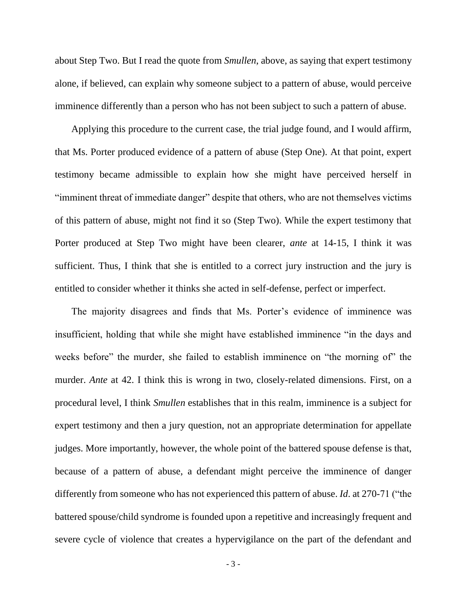about Step Two. But I read the quote from *Smullen*, above, as saying that expert testimony alone, if believed, can explain why someone subject to a pattern of abuse, would perceive imminence differently than a person who has not been subject to such a pattern of abuse.

Applying this procedure to the current case, the trial judge found, and I would affirm, that Ms. Porter produced evidence of a pattern of abuse (Step One). At that point, expert testimony became admissible to explain how she might have perceived herself in "imminent threat of immediate danger" despite that others, who are not themselves victims of this pattern of abuse, might not find it so (Step Two). While the expert testimony that Porter produced at Step Two might have been clearer, *ante* at 14-15, I think it was sufficient. Thus, I think that she is entitled to a correct jury instruction and the jury is entitled to consider whether it thinks she acted in self-defense, perfect or imperfect.

The majority disagrees and finds that Ms. Porter's evidence of imminence was insufficient, holding that while she might have established imminence "in the days and weeks before" the murder, she failed to establish imminence on "the morning of" the murder. *Ante* at 42. I think this is wrong in two, closely-related dimensions. First, on a procedural level, I think *Smullen* establishes that in this realm, imminence is a subject for expert testimony and then a jury question, not an appropriate determination for appellate judges. More importantly, however, the whole point of the battered spouse defense is that, because of a pattern of abuse, a defendant might perceive the imminence of danger differently from someone who has not experienced this pattern of abuse. *Id*. at 270-71 ("the battered spouse/child syndrome is founded upon a repetitive and increasingly frequent and severe cycle of violence that creates a hypervigilance on the part of the defendant and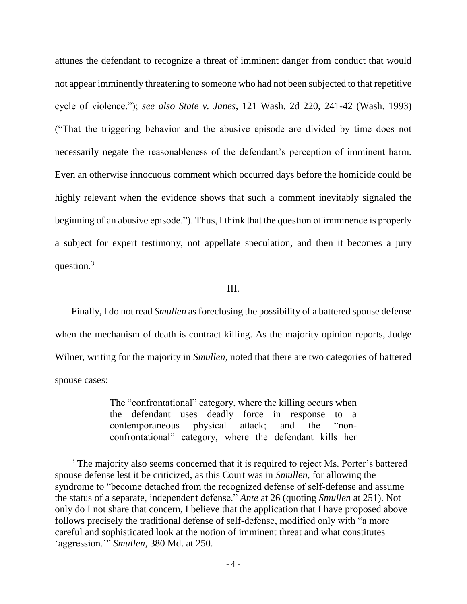attunes the defendant to recognize a threat of imminent danger from conduct that would not appear imminently threatening to someone who had not been subjected to that repetitive cycle of violence."); *see also State v. Janes*, 121 Wash. 2d 220, 241-42 (Wash. 1993) ("That the triggering behavior and the abusive episode are divided by time does not necessarily negate the reasonableness of the defendant's perception of imminent harm. Even an otherwise innocuous comment which occurred days before the homicide could be highly relevant when the evidence shows that such a comment inevitably signaled the beginning of an abusive episode."). Thus, I think that the question of imminence is properly a subject for expert testimony, not appellate speculation, and then it becomes a jury question.<sup>3</sup>

### III.

Finally, I do not read *Smullen* as foreclosing the possibility of a battered spouse defense when the mechanism of death is contract killing. As the majority opinion reports, Judge Wilner, writing for the majority in *Smullen*, noted that there are two categories of battered spouse cases:

> The "confrontational" category, where the killing occurs when the defendant uses deadly force in response to a contemporaneous physical attack; and the "nonconfrontational" category, where the defendant kills her

<sup>&</sup>lt;sup>3</sup> The majority also seems concerned that it is required to reject Ms. Porter's battered spouse defense lest it be criticized, as this Court was in *Smullen*, for allowing the syndrome to "become detached from the recognized defense of self-defense and assume the status of a separate, independent defense." *Ante* at 26 (quoting *Smullen* at 251). Not only do I not share that concern, I believe that the application that I have proposed above follows precisely the traditional defense of self-defense, modified only with "a more careful and sophisticated look at the notion of imminent threat and what constitutes 'aggression.'" *Smullen*, 380 Md. at 250.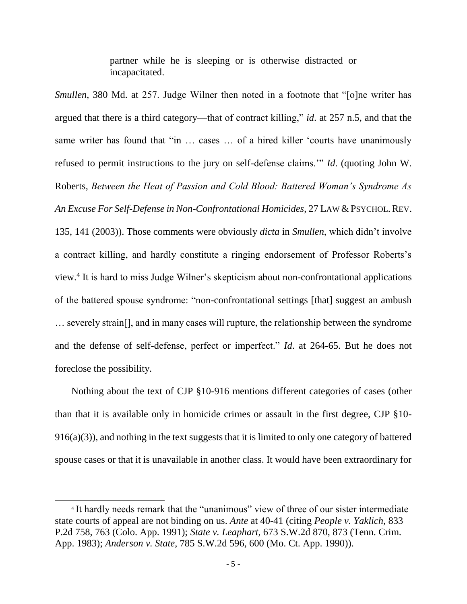partner while he is sleeping or is otherwise distracted or incapacitated.

*Smullen*, 380 Md. at 257. Judge Wilner then noted in a footnote that "[o]ne writer has argued that there is a third category—that of contract killing," *id*. at 257 n.5, and that the same writer has found that "in ... cases ... of a hired killer 'courts have unanimously refused to permit instructions to the jury on self-defense claims.'" *Id*. (quoting John W. Roberts, *Between the Heat of Passion and Cold Blood: Battered Woman's Syndrome As An Excuse For Self-Defense in Non-Confrontational Homicides*, 27 LAW & PSYCHOL.REV. 135, 141 (2003)). Those comments were obviously *dicta* in *Smullen*, which didn't involve a contract killing, and hardly constitute a ringing endorsement of Professor Roberts's view.<sup>4</sup> It is hard to miss Judge Wilner's skepticism about non-confrontational applications of the battered spouse syndrome: "non-confrontational settings [that] suggest an ambush … severely strain[], and in many cases will rupture, the relationship between the syndrome and the defense of self-defense, perfect or imperfect." *Id*. at 264-65. But he does not foreclose the possibility.

Nothing about the text of CJP §10-916 mentions different categories of cases (other than that it is available only in homicide crimes or assault in the first degree, CJP §10- 916(a)(3)), and nothing in the text suggests that it is limited to only one category of battered spouse cases or that it is unavailable in another class. It would have been extraordinary for

<sup>&</sup>lt;sup>4</sup> It hardly needs remark that the "unanimous" view of three of our sister intermediate state courts of appeal are not binding on us. *Ante* at 40-41 (citing *People v. Yaklich,* 833 P.2d 758, 763 (Colo. App. 1991); *State v. Leaphart*, 673 S.W.2d 870, 873 (Tenn. Crim. App. 1983); *Anderson v. State*, 785 S.W.2d 596, 600 (Mo. Ct. App. 1990)).